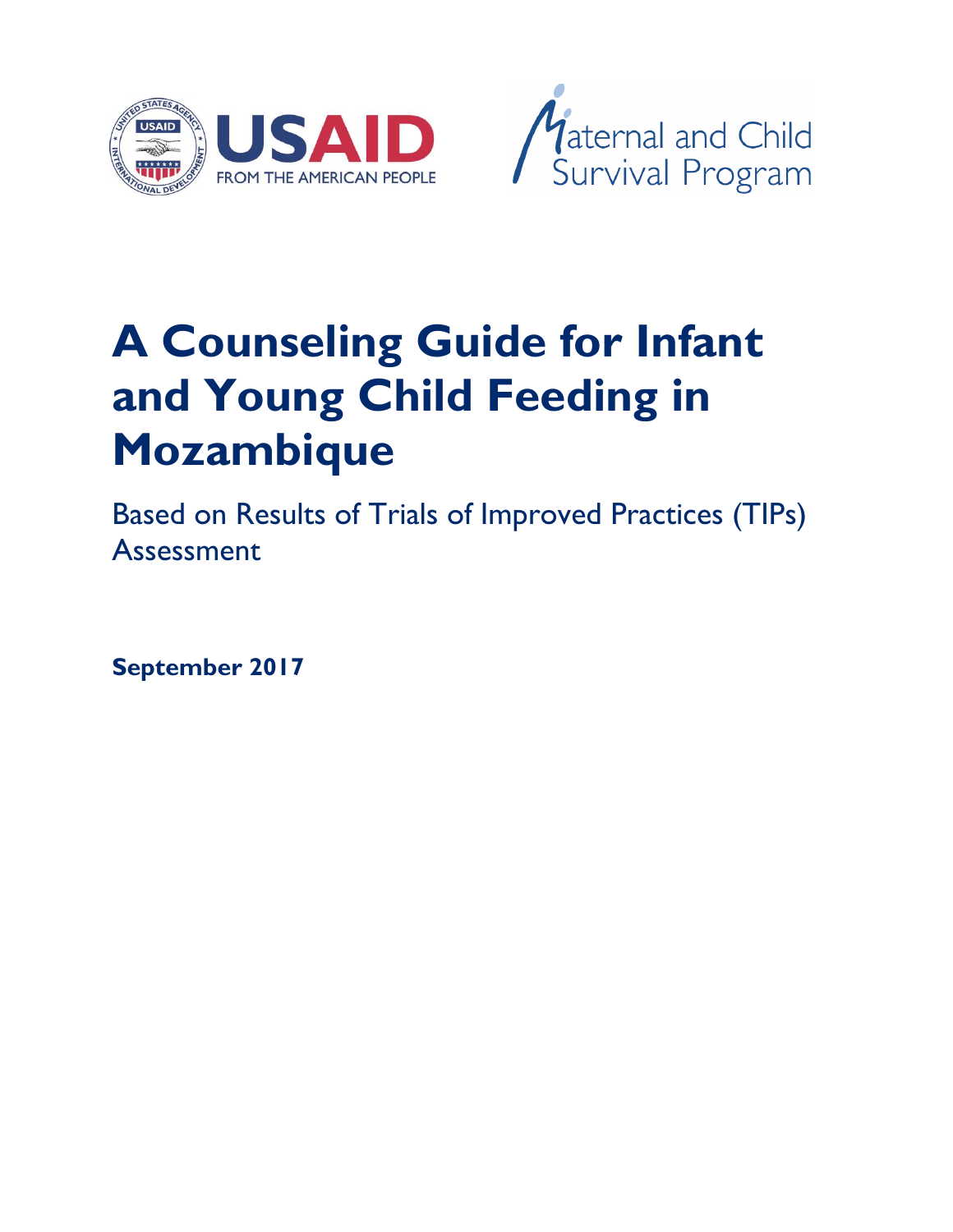



# **A Counseling Guide for Infant and Young Child Feeding in Mozambique**

Based on Results of Trials of Improved Practices (TIPs) Assessment

**September 2017**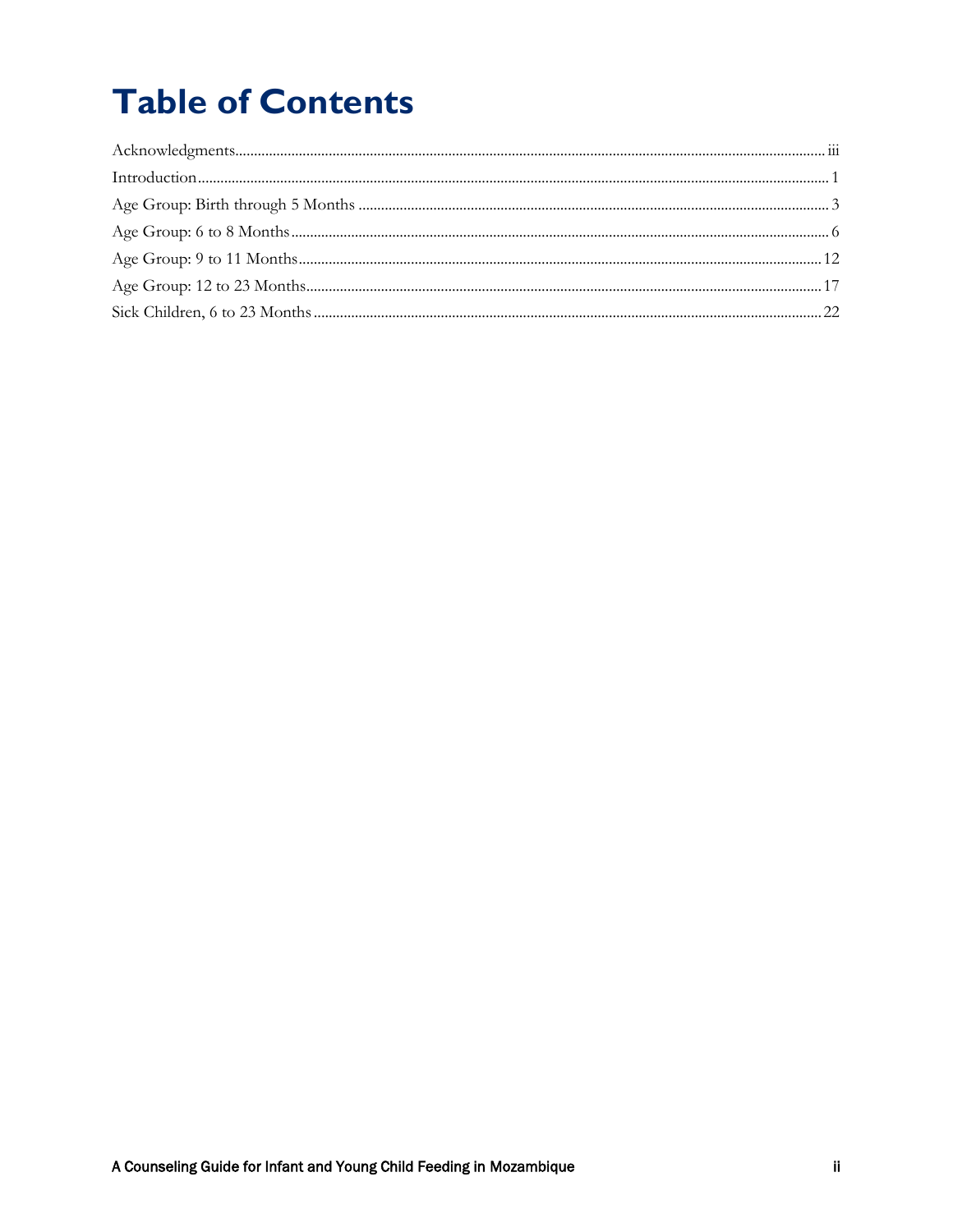## **Table of Contents**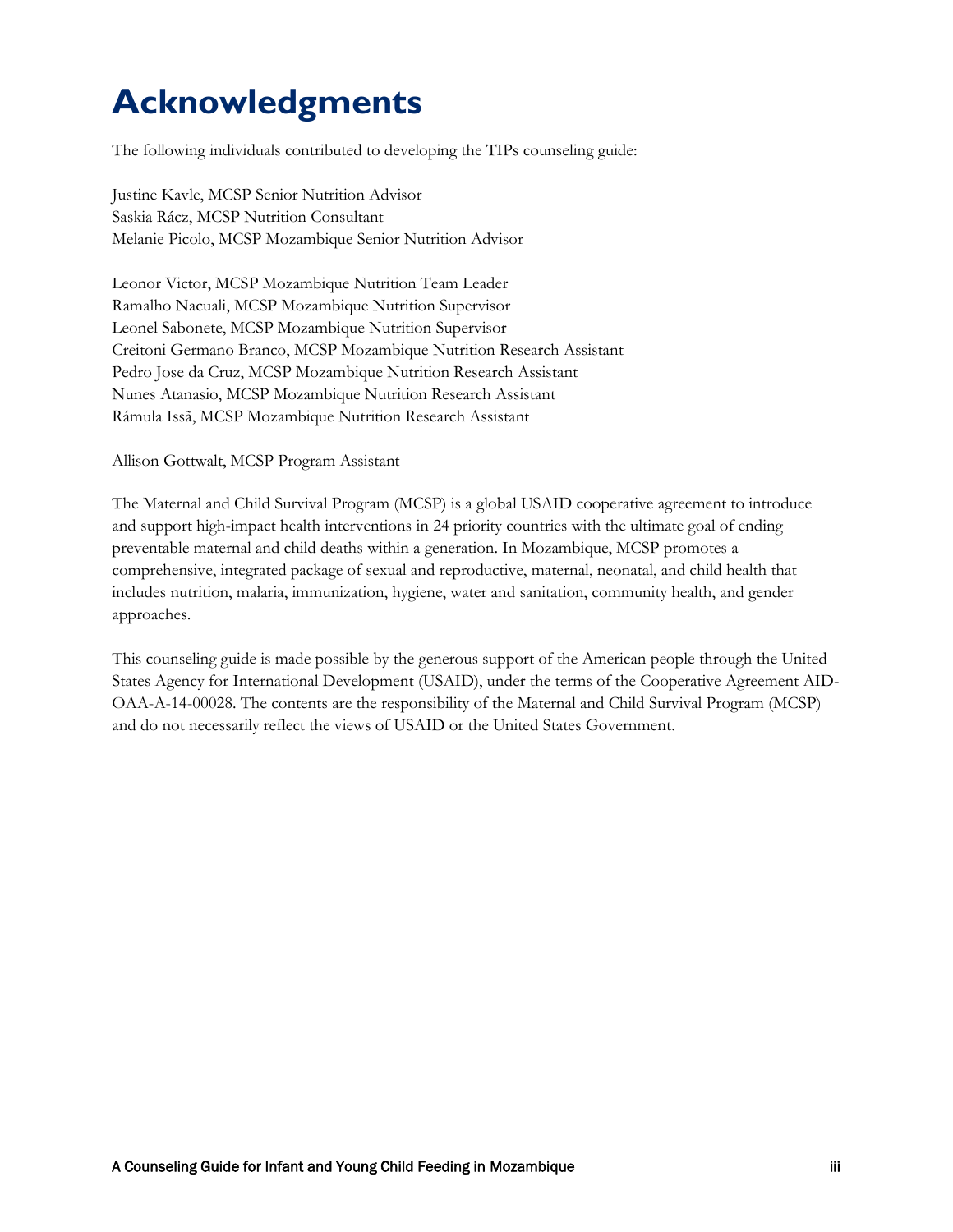### <span id="page-2-0"></span>**Acknowledgments**

The following individuals contributed to developing the TIPs counseling guide:

Justine Kavle, MCSP Senior Nutrition Advisor Saskia Rácz, MCSP Nutrition Consultant Melanie Picolo, MCSP Mozambique Senior Nutrition Advisor

Leonor Victor, MCSP Mozambique Nutrition Team Leader Ramalho Nacuali, MCSP Mozambique Nutrition Supervisor Leonel Sabonete, MCSP Mozambique Nutrition Supervisor Creitoni Germano Branco, MCSP Mozambique Nutrition Research Assistant Pedro Jose da Cruz, MCSP Mozambique Nutrition Research Assistant Nunes Atanasio, MCSP Mozambique Nutrition Research Assistant Rámula Issã, MCSP Mozambique Nutrition Research Assistant

Allison Gottwalt, MCSP Program Assistant

The Maternal and Child Survival Program (MCSP) is a global USAID cooperative agreement to introduce and support high-impact health interventions in 24 priority countries with the ultimate goal of ending preventable maternal and child deaths within a generation. In Mozambique, MCSP promotes a comprehensive, integrated package of sexual and reproductive, maternal, neonatal, and child health that includes nutrition, malaria, immunization, hygiene, water and sanitation, community health, and gender approaches.

This counseling guide is made possible by the generous support of the American people through the United States Agency for International Development (USAID), under the terms of the Cooperative Agreement AID-OAA-A-14-00028. The contents are the responsibility of the Maternal and Child Survival Program (MCSP) and do not necessarily reflect the views of USAID or the United States Government.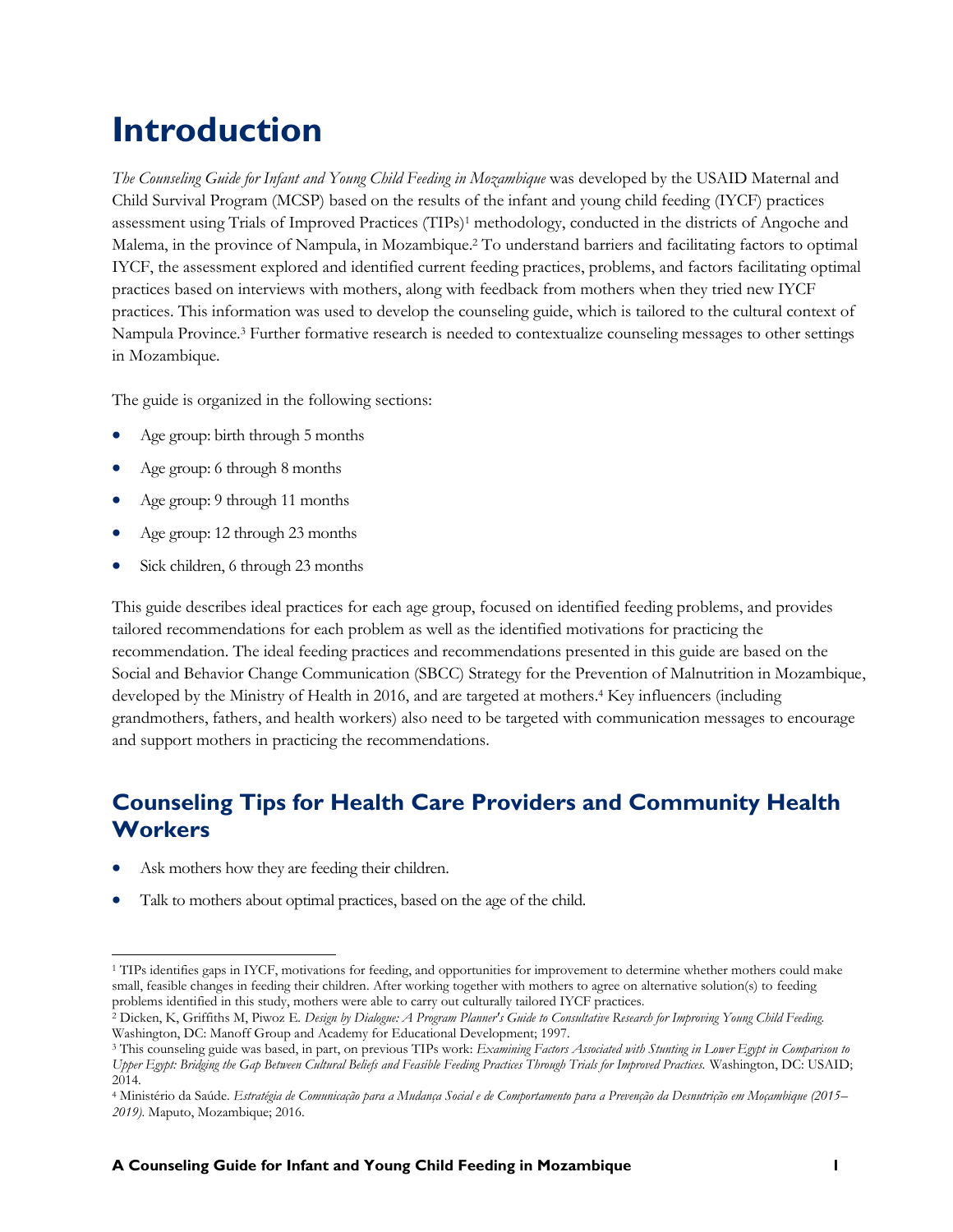### <span id="page-3-0"></span>**Introduction**

*The Counseling Guide for Infant and Young Child Feeding in Mozambique* was developed by the USAID Maternal and Child Survival Program (MCSP) based on the results of the infant and young child feeding (IYCF) practices assessment using Trials of Improved Practices (TIPs)<sup>1</sup> methodology, conducted in the districts of Angoche and Malema, in the province of Nampula, in Mozambique. <sup>2</sup> To understand barriers and facilitating factors to optimal IYCF, the assessment explored and identified current feeding practices, problems, and factors facilitating optimal practices based on interviews with mothers, along with feedback from mothers when they tried new IYCF practices. This information was used to develop the counseling guide, which is tailored to the cultural context of Nampula Province. <sup>3</sup> Further formative research is needed to contextualize counseling messages to other settings in Mozambique.

The guide is organized in the following sections:

- Age group: birth through 5 months
- Age group: 6 through 8 months
- Age group: 9 through 11 months
- Age group: 12 through 23 months
- Sick children, 6 through 23 months

This guide describes ideal practices for each age group, focused on identified feeding problems, and provides tailored recommendations for each problem as well as the identified motivations for practicing the recommendation. The ideal feeding practices and recommendations presented in this guide are based on the Social and Behavior Change Communication (SBCC) Strategy for the Prevention of Malnutrition in Mozambique, developed by the Ministry of Health in 2016, and are targeted at mothers. <sup>4</sup> Key influencers (including grandmothers, fathers, and health workers) also need to be targeted with communication messages to encourage and support mothers in practicing the recommendations.

#### **Counseling Tips for Health Care Providers and Community Health Workers**

- Ask mothers how they are feeding their children.
- Talk to mothers about optimal practices, based on the age of the child.

 $\overline{a}$ <sup>1</sup> TIPs identifies gaps in IYCF, motivations for feeding, and opportunities for improvement to determine whether mothers could make small, feasible changes in feeding their children. After working together with mothers to agree on alternative solution(s) to feeding problems identified in this study, mothers were able to carry out culturally tailored IYCF practices.

<sup>2</sup> Dicken, K, Griffiths M, Piwoz E. *Design by Dialogue: A Program Planner's Guide to Consultative Research for Improving Young Child Feeding.* Washington, DC: Manoff Group and Academy for Educational Development; 1997.

<sup>3</sup> This counseling guide was based, in part, on previous TIPs work: *Examining Factors Associated with Stunting in Lower Egypt in Comparison to Upper Egypt: Bridging the Gap Between Cultural Beliefs and Feasible Feeding Practices Through Trials for Improved Practices.* Washington, DC: USAID; 2014.

<sup>4</sup> Ministério da Saúde. *Estratégia de Comunicação para a Mudança Social e de Comportamento para a Prevenção da Desnutrição em Moçambique (2015– 2019).* Maputo, Mozambique; 2016.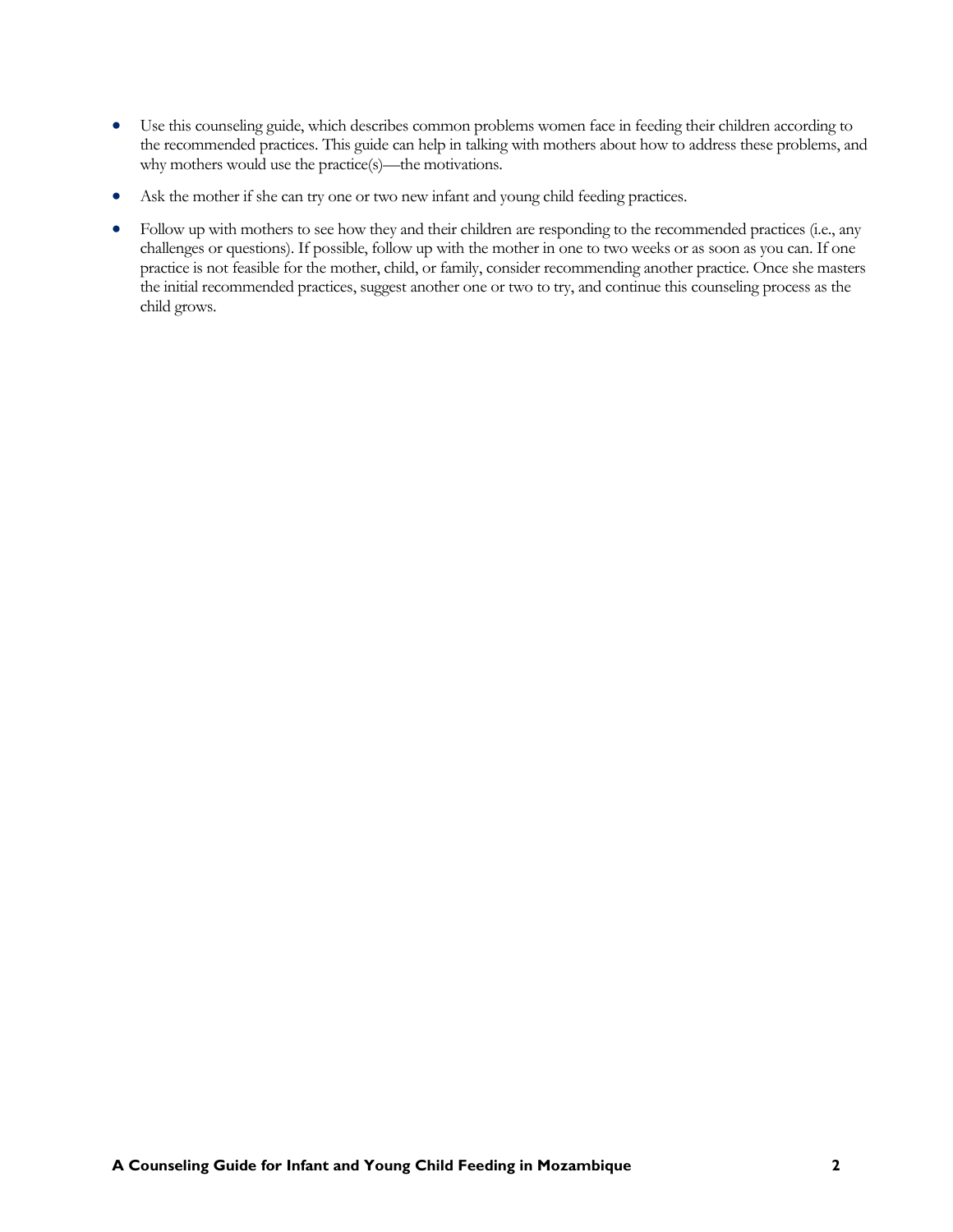- Use this counseling guide, which describes common problems women face in feeding their children according to the recommended practices. This guide can help in talking with mothers about how to address these problems, and why mothers would use the practice(s)—the motivations.
- Ask the mother if she can try one or two new infant and young child feeding practices.
- Follow up with mothers to see how they and their children are responding to the recommended practices (i.e., any challenges or questions). If possible, follow up with the mother in one to two weeks or as soon as you can. If one practice is not feasible for the mother, child, or family, consider recommending another practice. Once she masters the initial recommended practices, suggest another one or two to try, and continue this counseling process as the child grows.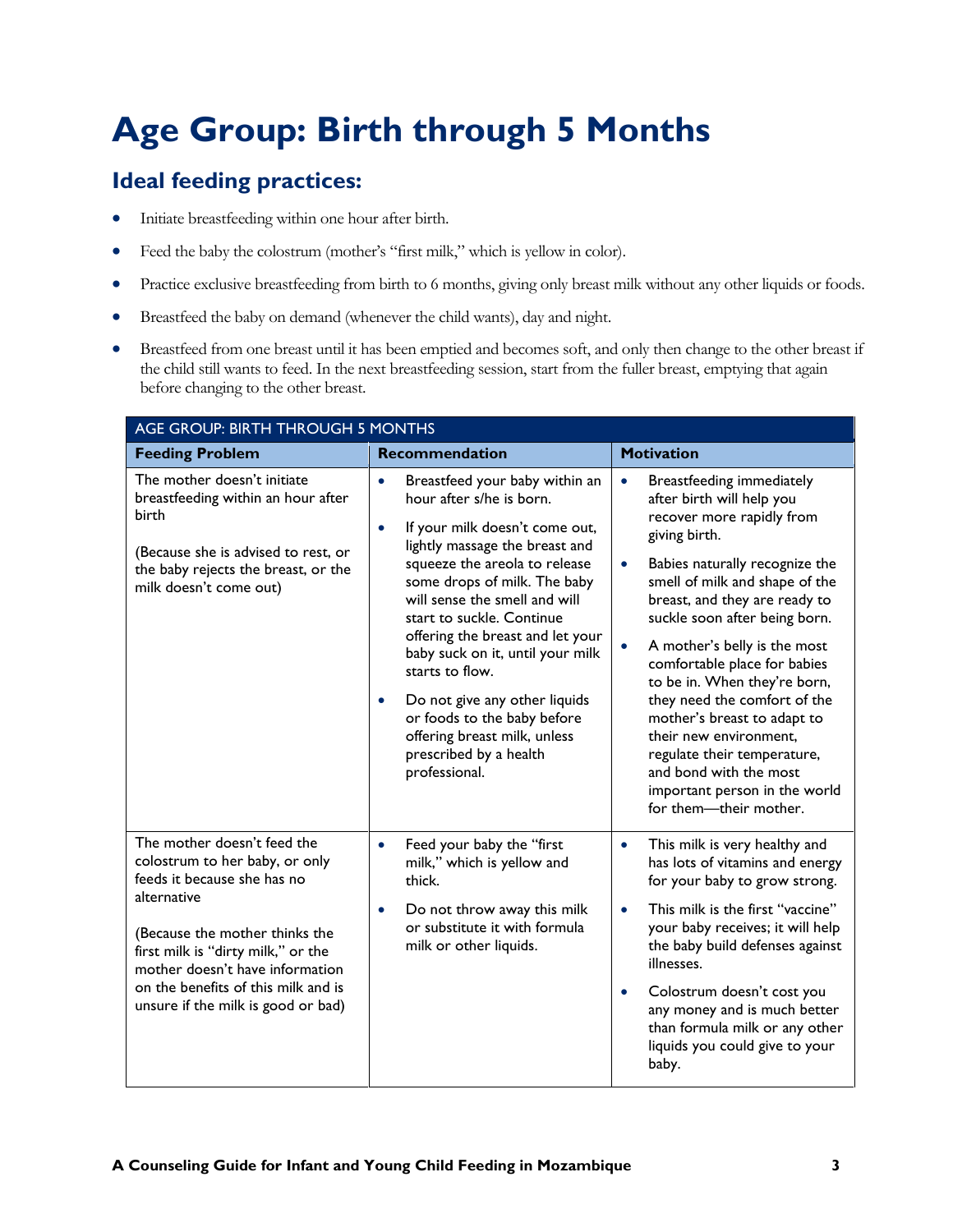### <span id="page-5-0"></span>**Age Group: Birth through 5 Months**

- Initiate breastfeeding within one hour after birth.
- Feed the baby the colostrum (mother's "first milk," which is yellow in color).
- Practice exclusive breastfeeding from birth to 6 months, giving only breast milk without any other liquids or foods.
- Breastfeed the baby on demand (whenever the child wants), day and night.
- Breastfeed from one breast until it has been emptied and becomes soft, and only then change to the other breast if the child still wants to feed. In the next breastfeeding session, start from the fuller breast, emptying that again before changing to the other breast.

| AGE GROUP: BIRTH THROUGH 5 MONTHS                                                                                                                                                                                                                                                                   |                                                                                                                                                                                                                                                                                                                                                                                                                                                                                                                                            |                                                                                                                                                                                                                                                                                                                                                                                                                                                                                                                                                                                                |
|-----------------------------------------------------------------------------------------------------------------------------------------------------------------------------------------------------------------------------------------------------------------------------------------------------|--------------------------------------------------------------------------------------------------------------------------------------------------------------------------------------------------------------------------------------------------------------------------------------------------------------------------------------------------------------------------------------------------------------------------------------------------------------------------------------------------------------------------------------------|------------------------------------------------------------------------------------------------------------------------------------------------------------------------------------------------------------------------------------------------------------------------------------------------------------------------------------------------------------------------------------------------------------------------------------------------------------------------------------------------------------------------------------------------------------------------------------------------|
| <b>Feeding Problem</b>                                                                                                                                                                                                                                                                              | <b>Recommendation</b>                                                                                                                                                                                                                                                                                                                                                                                                                                                                                                                      | <b>Motivation</b>                                                                                                                                                                                                                                                                                                                                                                                                                                                                                                                                                                              |
| The mother doesn't initiate<br>breastfeeding within an hour after<br>birth<br>(Because she is advised to rest, or<br>the baby rejects the breast, or the<br>milk doesn't come out)                                                                                                                  | Breastfeed your baby within an<br>$\bullet$<br>hour after s/he is born.<br>If your milk doesn't come out,<br>$\bullet$<br>lightly massage the breast and<br>squeeze the areola to release<br>some drops of milk. The baby<br>will sense the smell and will<br>start to suckle. Continue<br>offering the breast and let your<br>baby suck on it, until your milk<br>starts to flow.<br>Do not give any other liquids<br>$\bullet$<br>or foods to the baby before<br>offering breast milk, unless<br>prescribed by a health<br>professional. | Breastfeeding immediately<br>$\bullet$<br>after birth will help you<br>recover more rapidly from<br>giving birth.<br>Babies naturally recognize the<br>$\bullet$<br>smell of milk and shape of the<br>breast, and they are ready to<br>suckle soon after being born.<br>A mother's belly is the most<br>$\bullet$<br>comfortable place for babies<br>to be in. When they're born,<br>they need the comfort of the<br>mother's breast to adapt to<br>their new environment.<br>regulate their temperature,<br>and bond with the most<br>important person in the world<br>for them-their mother. |
| The mother doesn't feed the<br>colostrum to her baby, or only<br>feeds it because she has no<br>alternative<br>(Because the mother thinks the<br>first milk is "dirty milk," or the<br>mother doesn't have information<br>on the benefits of this milk and is<br>unsure if the milk is good or bad) | Feed your baby the "first<br>$\bullet$<br>milk," which is yellow and<br>thick.<br>Do not throw away this milk<br>$\bullet$<br>or substitute it with formula<br>milk or other liquids.                                                                                                                                                                                                                                                                                                                                                      | This milk is very healthy and<br>$\bullet$<br>has lots of vitamins and energy<br>for your baby to grow strong.<br>This milk is the first "vaccine"<br>$\bullet$<br>your baby receives; it will help<br>the baby build defenses against<br>illnesses.<br>Colostrum doesn't cost you<br>$\bullet$<br>any money and is much better<br>than formula milk or any other<br>liquids you could give to your<br>baby.                                                                                                                                                                                   |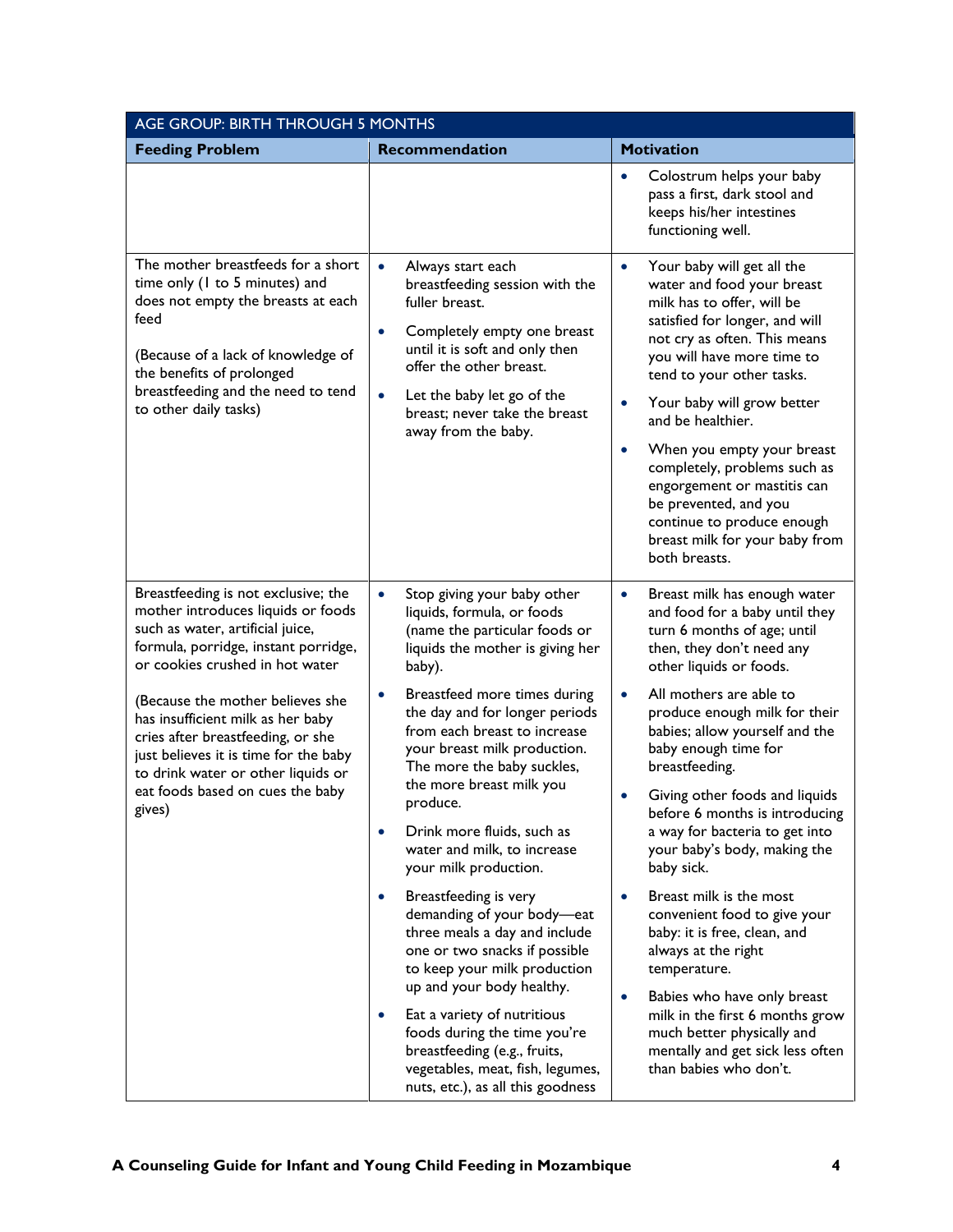| AGE GROUP: BIRTH THROUGH 5 MONTHS                                                                                                                                                                                                                                                                                                                                                                                                   |                                                                                                                                                                                                                                                                                                                                                                                                                                                                                           |                                                                                                                                                                                                                                                                                                                                                                                                                                                                                                         |  |
|-------------------------------------------------------------------------------------------------------------------------------------------------------------------------------------------------------------------------------------------------------------------------------------------------------------------------------------------------------------------------------------------------------------------------------------|-------------------------------------------------------------------------------------------------------------------------------------------------------------------------------------------------------------------------------------------------------------------------------------------------------------------------------------------------------------------------------------------------------------------------------------------------------------------------------------------|---------------------------------------------------------------------------------------------------------------------------------------------------------------------------------------------------------------------------------------------------------------------------------------------------------------------------------------------------------------------------------------------------------------------------------------------------------------------------------------------------------|--|
| <b>Feeding Problem</b>                                                                                                                                                                                                                                                                                                                                                                                                              | <b>Recommendation</b>                                                                                                                                                                                                                                                                                                                                                                                                                                                                     | <b>Motivation</b>                                                                                                                                                                                                                                                                                                                                                                                                                                                                                       |  |
|                                                                                                                                                                                                                                                                                                                                                                                                                                     |                                                                                                                                                                                                                                                                                                                                                                                                                                                                                           | Colostrum helps your baby<br>$\bullet$<br>pass a first, dark stool and<br>keeps his/her intestines<br>functioning well.                                                                                                                                                                                                                                                                                                                                                                                 |  |
| The mother breastfeeds for a short<br>time only (1 to 5 minutes) and<br>does not empty the breasts at each<br>feed<br>(Because of a lack of knowledge of<br>the benefits of prolonged<br>breastfeeding and the need to tend<br>to other daily tasks)                                                                                                                                                                                | $\bullet$<br>Always start each<br>breastfeeding session with the<br>fuller breast.<br>Completely empty one breast<br>$\bullet$<br>until it is soft and only then<br>offer the other breast.<br>Let the baby let go of the<br>$\bullet$<br>breast; never take the breast<br>away from the baby.                                                                                                                                                                                            | Your baby will get all the<br>$\bullet$<br>water and food your breast<br>milk has to offer, will be<br>satisfied for longer, and will<br>not cry as often. This means<br>you will have more time to<br>tend to your other tasks.<br>Your baby will grow better<br>and be healthier.<br>When you empty your breast<br>$\bullet$<br>completely, problems such as<br>engorgement or mastitis can<br>be prevented, and you<br>continue to produce enough<br>breast milk for your baby from<br>both breasts. |  |
| Breastfeeding is not exclusive; the<br>mother introduces liquids or foods<br>such as water, artificial juice,<br>formula, porridge, instant porridge,<br>or cookies crushed in hot water<br>(Because the mother believes she<br>has insufficient milk as her baby<br>cries after breastfeeding, or she<br>just believes it is time for the baby<br>to drink water or other liquids or<br>eat foods based on cues the baby<br>gives) | $\bullet$<br>Stop giving your baby other<br>liquids, formula, or foods<br>(name the particular foods or<br>liquids the mother is giving her<br>baby).<br>Breastfeed more times during<br>$\bullet$<br>the day and for longer periods<br>from each breast to increase<br>your breast milk production.<br>The more the baby suckles,<br>the more breast milk you<br>produce.<br>Drink more fluids, such as<br>water and milk, to increase<br>your milk production.<br>Breastfeeding is very | Breast milk has enough water<br>$\bullet$<br>and food for a baby until they<br>turn 6 months of age; until<br>then, they don't need any<br>other liquids or foods.<br>All mothers are able to<br>$\bullet$<br>produce enough milk for their<br>babies; allow yourself and the<br>baby enough time for<br>breastfeeding.<br>Giving other foods and liquids<br>before 6 months is introducing<br>a way for bacteria to get into<br>your baby's body, making the<br>baby sick.<br>Breast milk is the most  |  |
|                                                                                                                                                                                                                                                                                                                                                                                                                                     | demanding of your body-eat<br>three meals a day and include<br>one or two snacks if possible<br>to keep your milk production<br>up and your body healthy.<br>Eat a variety of nutritious<br>$\bullet$<br>foods during the time you're<br>breastfeeding (e.g., fruits,<br>vegetables, meat, fish, legumes,<br>nuts, etc.), as all this goodness                                                                                                                                            | convenient food to give your<br>baby: it is free, clean, and<br>always at the right<br>temperature.<br>Babies who have only breast<br>$\bullet$<br>milk in the first 6 months grow<br>much better physically and<br>mentally and get sick less often<br>than babies who don't.                                                                                                                                                                                                                          |  |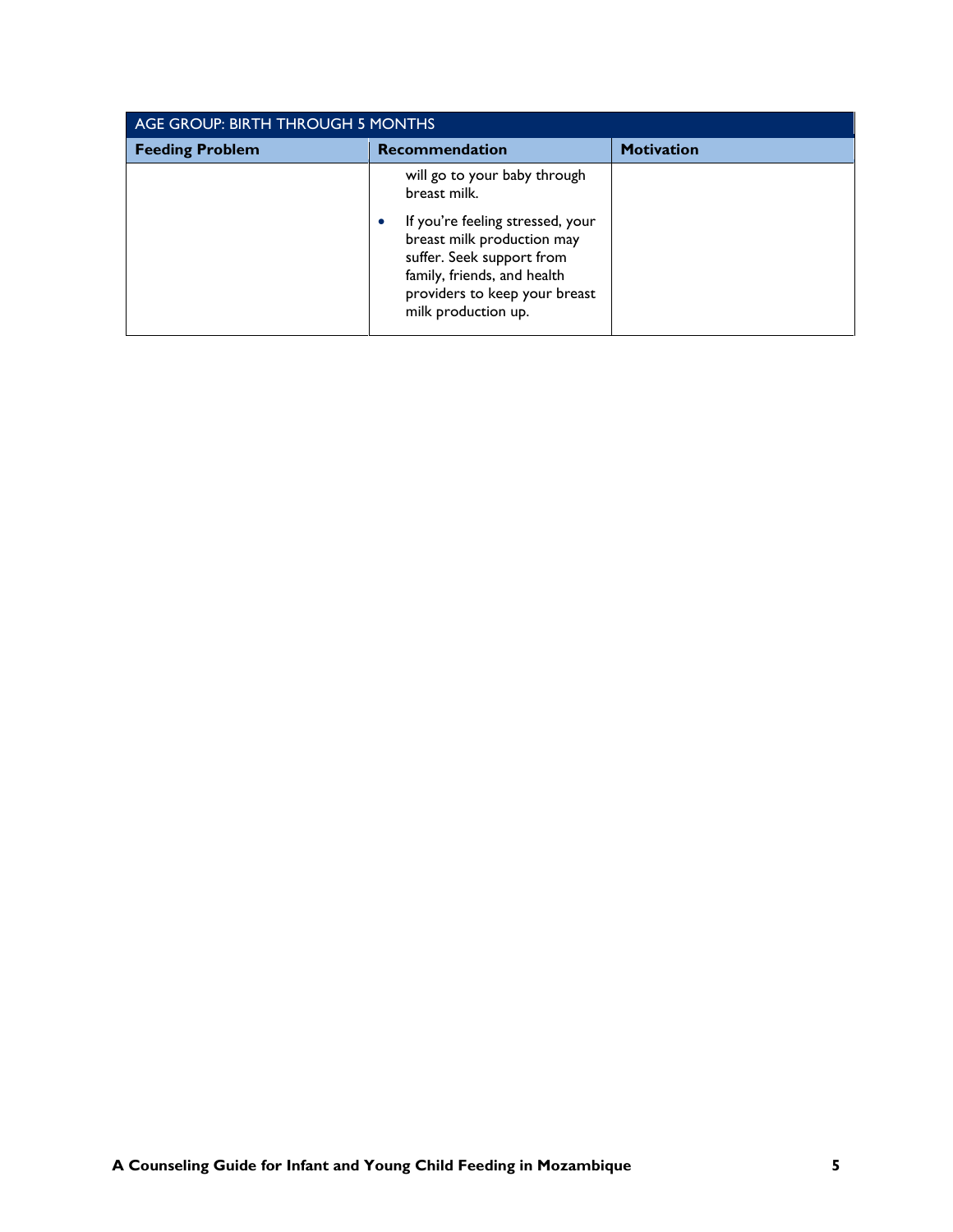| AGE GROUP: BIRTH THROUGH 5 MONTHS |                                                                                                                                                                                                                                                 |                   |
|-----------------------------------|-------------------------------------------------------------------------------------------------------------------------------------------------------------------------------------------------------------------------------------------------|-------------------|
| <b>Feeding Problem</b>            | <b>Recommendation</b>                                                                                                                                                                                                                           | <b>Motivation</b> |
|                                   | will go to your baby through<br>breast milk.<br>If you're feeling stressed, your<br>$\bullet$<br>breast milk production may<br>suffer. Seek support from<br>family, friends, and health<br>providers to keep your breast<br>milk production up. |                   |
|                                   |                                                                                                                                                                                                                                                 |                   |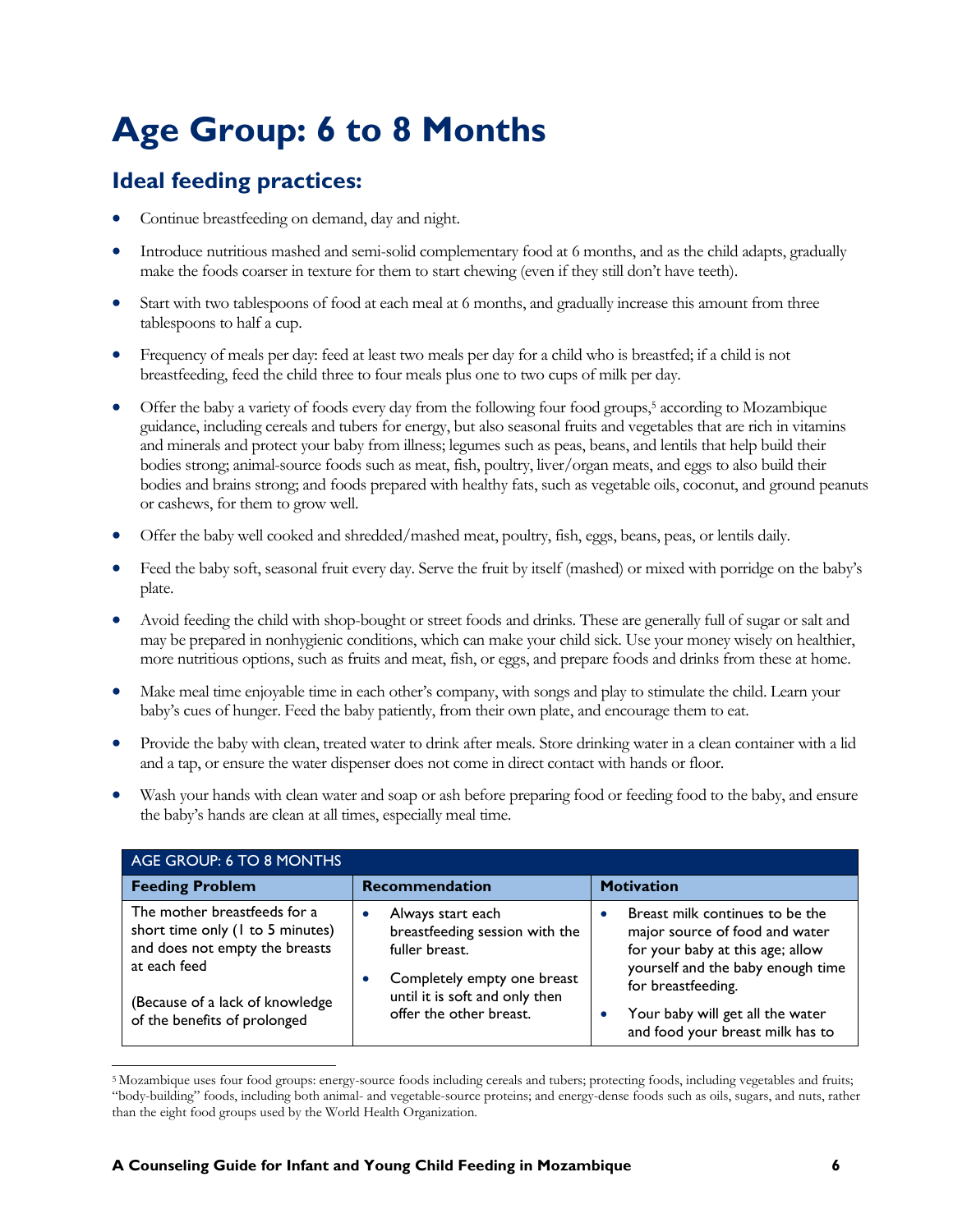### <span id="page-8-0"></span>**Age Group: 6 to 8 Months**

- Continue breastfeeding on demand, day and night.
- Introduce nutritious mashed and semi-solid complementary food at 6 months, and as the child adapts, gradually make the foods coarser in texture for them to start chewing (even if they still don't have teeth).
- Start with two tablespoons of food at each meal at 6 months, and gradually increase this amount from three tablespoons to half a cup.
- Frequency of meals per day: feed at least two meals per day for a child who is breastfed; if a child is not breastfeeding, feed the child three to four meals plus one to two cups of milk per day.
- Offer the baby a variety of foods every day from the following four food groups, <sup>5</sup> according to Mozambique guidance, including cereals and tubers for energy, but also seasonal fruits and vegetables that are rich in vitamins and minerals and protect your baby from illness; legumes such as peas, beans, and lentils that help build their bodies strong; animal-source foods such as meat, fish, poultry, liver/organ meats, and eggs to also build their bodies and brains strong; and foods prepared with healthy fats, such as vegetable oils, coconut, and ground peanuts or cashews, for them to grow well.
- Offer the baby well cooked and shredded/mashed meat, poultry, fish, eggs, beans, peas, or lentils daily.
- Feed the baby soft, seasonal fruit every day. Serve the fruit by itself (mashed) or mixed with porridge on the baby's plate.
- Avoid feeding the child with shop-bought or street foods and drinks. These are generally full of sugar or salt and may be prepared in nonhygienic conditions, which can make your child sick. Use your money wisely on healthier, more nutritious options, such as fruits and meat, fish, or eggs, and prepare foods and drinks from these at home.
- Make meal time enjoyable time in each other's company, with songs and play to stimulate the child. Learn your baby's cues of hunger. Feed the baby patiently, from their own plate, and encourage them to eat.
- Provide the baby with clean, treated water to drink after meals. Store drinking water in a clean container with a lid and a tap, or ensure the water dispenser does not come in direct contact with hands or floor.
- Wash your hands with clean water and soap or ash before preparing food or feeding food to the baby, and ensure the baby's hands are clean at all times, especially meal time.

| AGE GROUP: 6 TO 8 MONTHS                                                                                                                              |                                                                                                                                        |                                                                                                                                                                  |
|-------------------------------------------------------------------------------------------------------------------------------------------------------|----------------------------------------------------------------------------------------------------------------------------------------|------------------------------------------------------------------------------------------------------------------------------------------------------------------|
| <b>Feeding Problem</b>                                                                                                                                | Recommendation                                                                                                                         | <b>Motivation</b>                                                                                                                                                |
| The mother breastfeeds for a<br>short time only (1 to 5 minutes)<br>and does not empty the breasts<br>at each feed<br>(Because of a lack of knowledge | Always start each<br>breastfeeding session with the<br>fuller breast.<br>Completely empty one breast<br>until it is soft and only then | Breast milk continues to be the<br>major source of food and water<br>for your baby at this age; allow<br>yourself and the baby enough time<br>for breastfeeding. |
| of the benefits of prolonged                                                                                                                          | offer the other breast.                                                                                                                | Your baby will get all the water<br>and food your breast milk has to                                                                                             |

 $\overline{\phantom{a}}$ <sup>5</sup> Mozambique uses four food groups: energy-source foods including cereals and tubers; protecting foods, including vegetables and fruits; "body-building" foods, including both animal- and vegetable-source proteins; and energy-dense foods such as oils, sugars, and nuts, rather than the eight food groups used by the World Health Organization.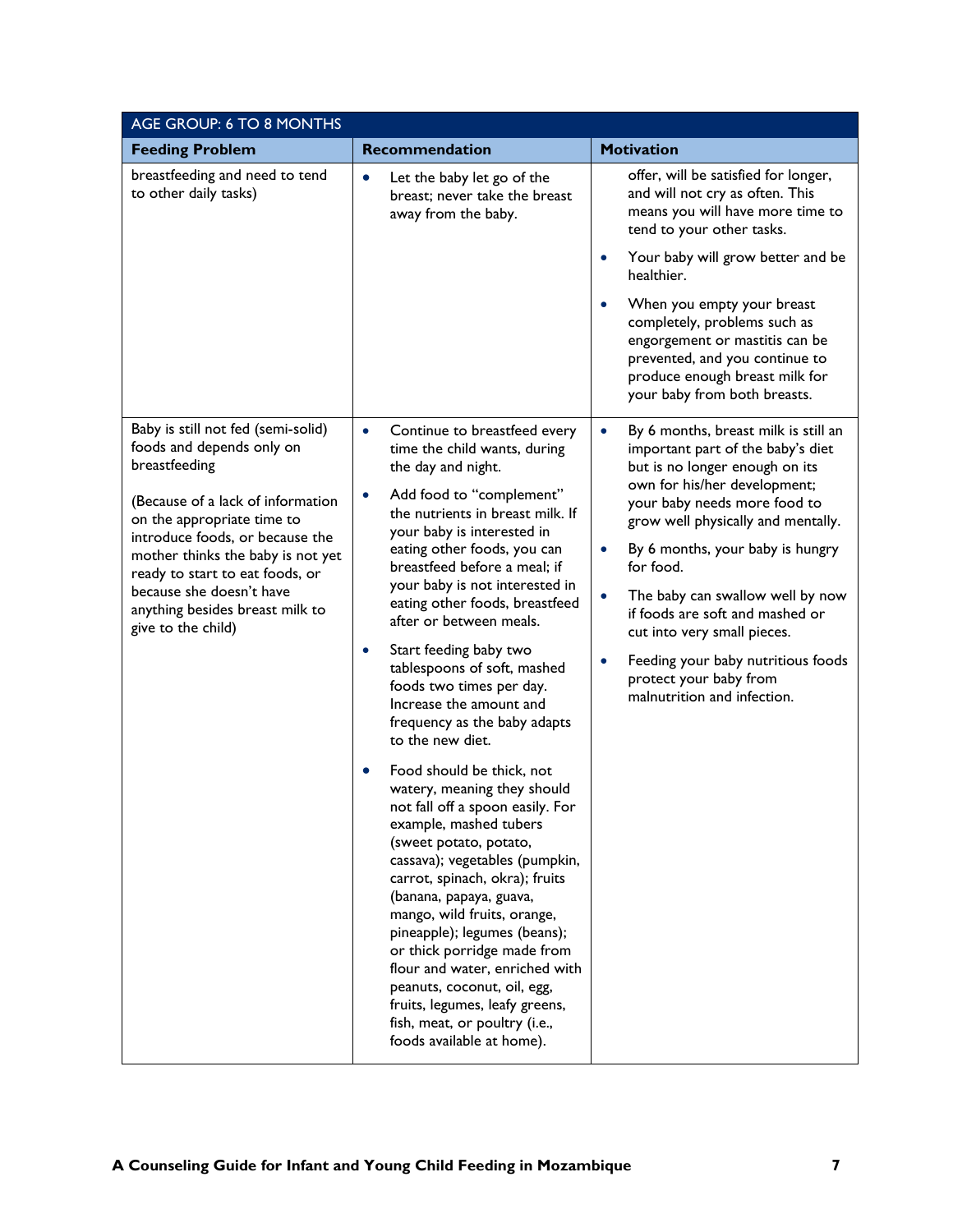| AGE GROUP: 6 TO 8 MONTHS                                                                                                                |                                                                                                                                                                                                                                                                                                                                                                                                                                                                                                                             |                                                                                                                                                                                                               |
|-----------------------------------------------------------------------------------------------------------------------------------------|-----------------------------------------------------------------------------------------------------------------------------------------------------------------------------------------------------------------------------------------------------------------------------------------------------------------------------------------------------------------------------------------------------------------------------------------------------------------------------------------------------------------------------|---------------------------------------------------------------------------------------------------------------------------------------------------------------------------------------------------------------|
| <b>Feeding Problem</b>                                                                                                                  | Recommendation                                                                                                                                                                                                                                                                                                                                                                                                                                                                                                              | <b>Motivation</b>                                                                                                                                                                                             |
| breastfeeding and need to tend<br>to other daily tasks)                                                                                 | Let the baby let go of the<br>$\bullet$<br>breast; never take the breast<br>away from the baby.                                                                                                                                                                                                                                                                                                                                                                                                                             | offer, will be satisfied for longer,<br>and will not cry as often. This<br>means you will have more time to<br>tend to your other tasks.                                                                      |
|                                                                                                                                         |                                                                                                                                                                                                                                                                                                                                                                                                                                                                                                                             | Your baby will grow better and be<br>$\bullet$<br>healthier.                                                                                                                                                  |
|                                                                                                                                         |                                                                                                                                                                                                                                                                                                                                                                                                                                                                                                                             | When you empty your breast<br>$\bullet$<br>completely, problems such as<br>engorgement or mastitis can be<br>prevented, and you continue to<br>produce enough breast milk for<br>your baby from both breasts. |
| Baby is still not fed (semi-solid)<br>foods and depends only on<br>breastfeeding                                                        | Continue to breastfeed every<br>$\bullet$<br>time the child wants, during<br>the day and night.                                                                                                                                                                                                                                                                                                                                                                                                                             | By 6 months, breast milk is still an<br>$\bullet$<br>important part of the baby's diet<br>but is no longer enough on its                                                                                      |
| (Because of a lack of information<br>on the appropriate time to<br>introduce foods, or because the<br>mother thinks the baby is not yet | Add food to "complement"<br>$\bullet$<br>the nutrients in breast milk. If<br>your baby is interested in<br>eating other foods, you can                                                                                                                                                                                                                                                                                                                                                                                      | own for his/her development;<br>your baby needs more food to<br>grow well physically and mentally.<br>By 6 months, your baby is hungry<br>$\bullet$<br>for food.                                              |
| ready to start to eat foods, or<br>because she doesn't have<br>anything besides breast milk to<br>give to the child)                    | breastfeed before a meal; if<br>your baby is not interested in<br>eating other foods, breastfeed<br>after or between meals.                                                                                                                                                                                                                                                                                                                                                                                                 | The baby can swallow well by now<br>if foods are soft and mashed or<br>cut into very small pieces.                                                                                                            |
|                                                                                                                                         | Start feeding baby two<br>$\bullet$<br>tablespoons of soft, mashed<br>foods two times per day.<br>Increase the amount and<br>frequency as the baby adapts<br>to the new diet.                                                                                                                                                                                                                                                                                                                                               | Feeding your baby nutritious foods<br>$\bullet$<br>protect your baby from<br>malnutrition and infection.                                                                                                      |
|                                                                                                                                         | Food should be thick, not<br>$\bullet$<br>watery, meaning they should<br>not fall off a spoon easily. For<br>example, mashed tubers<br>(sweet potato, potato,<br>cassava); vegetables (pumpkin,<br>carrot, spinach, okra); fruits<br>(banana, papaya, guava,<br>mango, wild fruits, orange,<br>pineapple); legumes (beans);<br>or thick porridge made from<br>flour and water, enriched with<br>peanuts, coconut, oil, egg,<br>fruits, legumes, leafy greens,<br>fish, meat, or poultry (i.e.,<br>foods available at home). |                                                                                                                                                                                                               |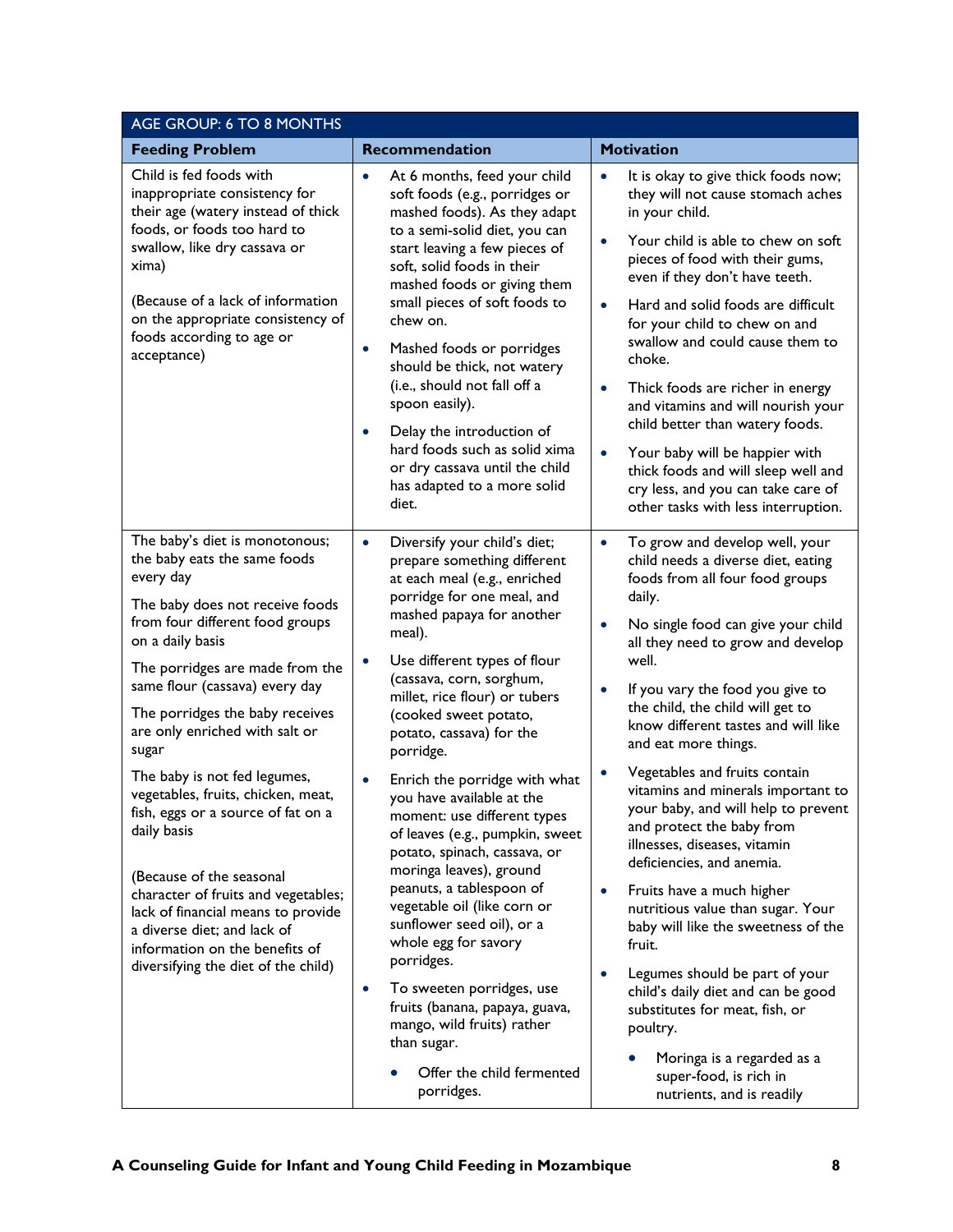| AGE GROUP: 6 TO 8 MONTHS                                                                                                                                                                                                                                                                                                                                                                                                                                                                                                                                                                                                                                             |                                                                                                                                                                                                                                                                                                                                                                                                                                                                                                                                                                                                                                                                                                                                                                                                                                                                     |                                                                                                                                                                                                                                                                                                                                                                                                                                                                                                                                                                                                                                                                                                                                                                                                                                                                                                                           |
|----------------------------------------------------------------------------------------------------------------------------------------------------------------------------------------------------------------------------------------------------------------------------------------------------------------------------------------------------------------------------------------------------------------------------------------------------------------------------------------------------------------------------------------------------------------------------------------------------------------------------------------------------------------------|---------------------------------------------------------------------------------------------------------------------------------------------------------------------------------------------------------------------------------------------------------------------------------------------------------------------------------------------------------------------------------------------------------------------------------------------------------------------------------------------------------------------------------------------------------------------------------------------------------------------------------------------------------------------------------------------------------------------------------------------------------------------------------------------------------------------------------------------------------------------|---------------------------------------------------------------------------------------------------------------------------------------------------------------------------------------------------------------------------------------------------------------------------------------------------------------------------------------------------------------------------------------------------------------------------------------------------------------------------------------------------------------------------------------------------------------------------------------------------------------------------------------------------------------------------------------------------------------------------------------------------------------------------------------------------------------------------------------------------------------------------------------------------------------------------|
| <b>Feeding Problem</b>                                                                                                                                                                                                                                                                                                                                                                                                                                                                                                                                                                                                                                               | Recommendation                                                                                                                                                                                                                                                                                                                                                                                                                                                                                                                                                                                                                                                                                                                                                                                                                                                      | <b>Motivation</b>                                                                                                                                                                                                                                                                                                                                                                                                                                                                                                                                                                                                                                                                                                                                                                                                                                                                                                         |
| Child is fed foods with<br>inappropriate consistency for<br>their age (watery instead of thick<br>foods, or foods too hard to<br>swallow, like dry cassava or<br>xima)<br>(Because of a lack of information<br>on the appropriate consistency of<br>foods according to age or<br>acceptance)                                                                                                                                                                                                                                                                                                                                                                         | At 6 months, feed your child<br>$\bullet$<br>soft foods (e.g., porridges or<br>mashed foods). As they adapt<br>to a semi-solid diet, you can<br>start leaving a few pieces of<br>soft, solid foods in their<br>mashed foods or giving them<br>small pieces of soft foods to<br>chew on.<br>Mashed foods or porridges<br>$\bullet$<br>should be thick, not watery<br>(i.e., should not fall off a<br>spoon easily).<br>Delay the introduction of<br>$\bullet$<br>hard foods such as solid xima<br>or dry cassava until the child<br>has adapted to a more solid<br>diet.                                                                                                                                                                                                                                                                                             | It is okay to give thick foods now;<br>$\bullet$<br>they will not cause stomach aches<br>in your child.<br>Your child is able to chew on soft<br>pieces of food with their gums,<br>even if they don't have teeth.<br>Hard and solid foods are difficult<br>$\bullet$<br>for your child to chew on and<br>swallow and could cause them to<br>choke.<br>Thick foods are richer in energy<br>$\bullet$<br>and vitamins and will nourish your<br>child better than watery foods.<br>Your baby will be happier with<br>$\bullet$<br>thick foods and will sleep well and<br>cry less, and you can take care of<br>other tasks with less interruption.                                                                                                                                                                                                                                                                          |
| The baby's diet is monotonous;<br>the baby eats the same foods<br>every day<br>The baby does not receive foods<br>from four different food groups<br>on a daily basis<br>The porridges are made from the<br>same flour (cassava) every day<br>The porridges the baby receives<br>are only enriched with salt or<br>sugar<br>The baby is not fed legumes,<br>vegetables, fruits, chicken, meat,<br>fish, eggs or a source of fat on a<br>daily basis<br>(Because of the seasonal<br>character of fruits and vegetables;<br>lack of financial means to provide<br>a diverse diet; and lack of<br>information on the benefits of<br>diversifying the diet of the child) | Diversify your child's diet;<br>$\bullet$<br>prepare something different<br>at each meal (e.g., enriched<br>porridge for one meal, and<br>mashed papaya for another<br>meal).<br>Use different types of flour<br>$\bullet$<br>(cassava, corn, sorghum,<br>millet, rice flour) or tubers<br>(cooked sweet potato,<br>potato, cassava) for the<br>porridge.<br>Enrich the porridge with what<br>$\bullet$<br>you have available at the<br>moment: use different types<br>of leaves (e.g., pumpkin, sweet<br>potato, spinach, cassava, or<br>moringa leaves), ground<br>peanuts, a tablespoon of<br>vegetable oil (like corn or<br>sunflower seed oil), or a<br>whole egg for savory<br>porridges.<br>To sweeten porridges, use<br>$\bullet$<br>fruits (banana, papaya, guava,<br>mango, wild fruits) rather<br>than sugar.<br>Offer the child fermented<br>porridges. | To grow and develop well, your<br>$\bullet$<br>child needs a diverse diet, eating<br>foods from all four food groups<br>daily.<br>No single food can give your child<br>$\bullet$<br>all they need to grow and develop<br>well.<br>If you vary the food you give to<br>$\bullet$<br>the child, the child will get to<br>know different tastes and will like<br>and eat more things.<br>Vegetables and fruits contain<br>vitamins and minerals important to<br>your baby, and will help to prevent<br>and protect the baby from<br>illnesses, diseases, vitamin<br>deficiencies, and anemia.<br>Fruits have a much higher<br>nutritious value than sugar. Your<br>baby will like the sweetness of the<br>fruit.<br>Legumes should be part of your<br>child's daily diet and can be good<br>substitutes for meat, fish, or<br>poultry.<br>Moringa is a regarded as a<br>super-food, is rich in<br>nutrients, and is readily |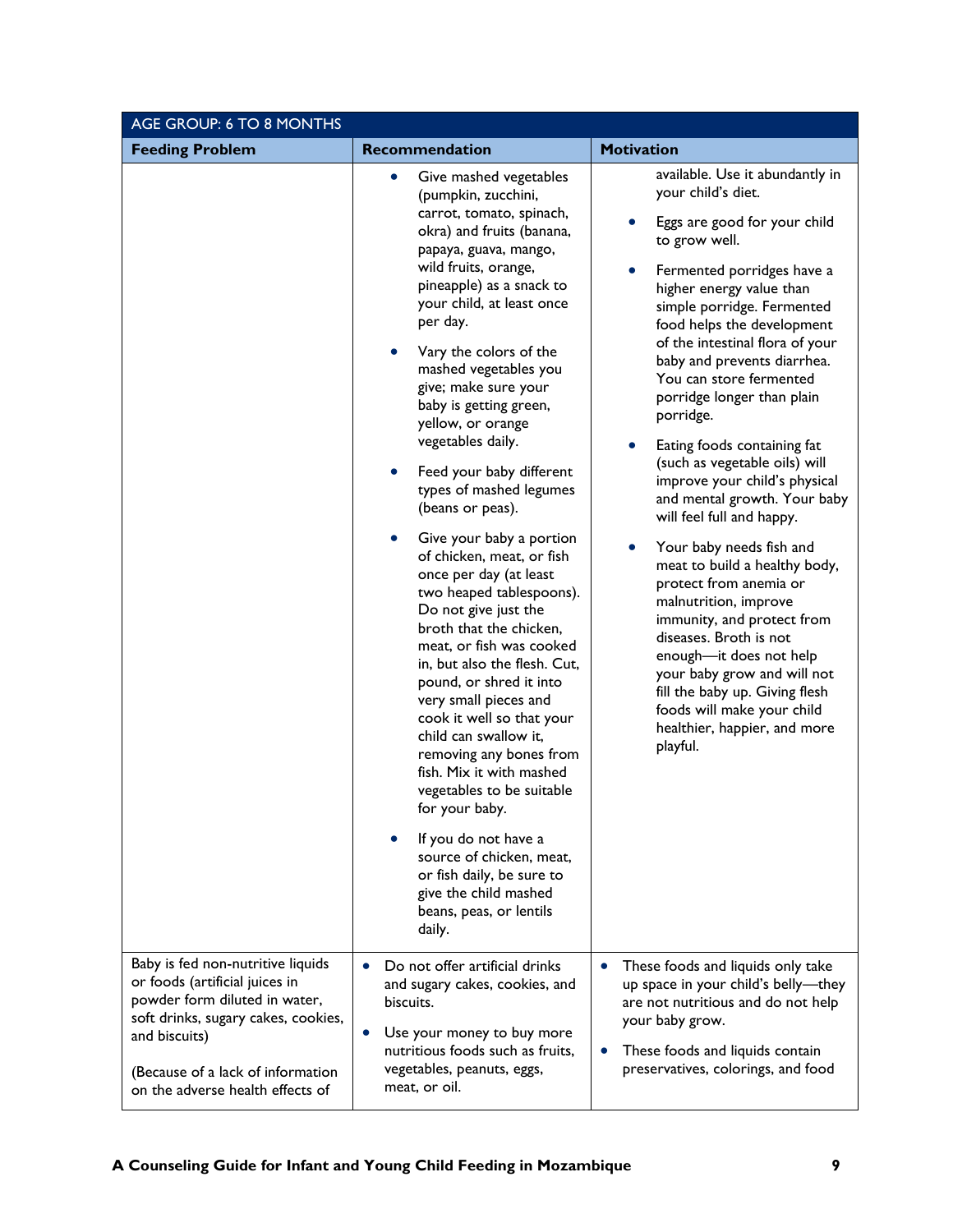| AGE GROUP: 6 TO 8 MONTHS                                                                                                                                                                                                              |                                                                                                                                                                                                                                                                                                                                                                                                                                                                                                                                                                                                                                                                                                                                                                                                                                                                                                                                                                                                                                                                               |                                                                                                                                                                                                                                                                                                                                                                                                                                                                                                                                                                                                                                                                                                                                                                                                                                                                                  |
|---------------------------------------------------------------------------------------------------------------------------------------------------------------------------------------------------------------------------------------|-------------------------------------------------------------------------------------------------------------------------------------------------------------------------------------------------------------------------------------------------------------------------------------------------------------------------------------------------------------------------------------------------------------------------------------------------------------------------------------------------------------------------------------------------------------------------------------------------------------------------------------------------------------------------------------------------------------------------------------------------------------------------------------------------------------------------------------------------------------------------------------------------------------------------------------------------------------------------------------------------------------------------------------------------------------------------------|----------------------------------------------------------------------------------------------------------------------------------------------------------------------------------------------------------------------------------------------------------------------------------------------------------------------------------------------------------------------------------------------------------------------------------------------------------------------------------------------------------------------------------------------------------------------------------------------------------------------------------------------------------------------------------------------------------------------------------------------------------------------------------------------------------------------------------------------------------------------------------|
| <b>Feeding Problem</b>                                                                                                                                                                                                                | <b>Recommendation</b>                                                                                                                                                                                                                                                                                                                                                                                                                                                                                                                                                                                                                                                                                                                                                                                                                                                                                                                                                                                                                                                         | <b>Motivation</b>                                                                                                                                                                                                                                                                                                                                                                                                                                                                                                                                                                                                                                                                                                                                                                                                                                                                |
|                                                                                                                                                                                                                                       | Give mashed vegetables<br>$\bullet$<br>(pumpkin, zucchini,<br>carrot, tomato, spinach,<br>okra) and fruits (banana,<br>papaya, guava, mango,<br>wild fruits, orange,<br>pineapple) as a snack to<br>your child, at least once<br>per day.<br>Vary the colors of the<br>mashed vegetables you<br>give; make sure your<br>baby is getting green,<br>yellow, or orange<br>vegetables daily.<br>Feed your baby different<br>$\bullet$<br>types of mashed legumes<br>(beans or peas).<br>Give your baby a portion<br>of chicken, meat, or fish<br>once per day (at least<br>two heaped tablespoons).<br>Do not give just the<br>broth that the chicken,<br>meat, or fish was cooked<br>in, but also the flesh. Cut,<br>pound, or shred it into<br>very small pieces and<br>cook it well so that your<br>child can swallow it,<br>removing any bones from<br>fish. Mix it with mashed<br>vegetables to be suitable<br>for your baby.<br>If you do not have a<br>source of chicken, meat,<br>or fish daily, be sure to<br>give the child mashed<br>beans, peas, or lentils<br>daily. | available. Use it abundantly in<br>your child's diet.<br>Eggs are good for your child<br>to grow well.<br>Fermented porridges have a<br>higher energy value than<br>simple porridge. Fermented<br>food helps the development<br>of the intestinal flora of your<br>baby and prevents diarrhea.<br>You can store fermented<br>porridge longer than plain<br>porridge.<br>Eating foods containing fat<br>(such as vegetable oils) will<br>improve your child's physical<br>and mental growth. Your baby<br>will feel full and happy.<br>Your baby needs fish and<br>meat to build a healthy body,<br>protect from anemia or<br>malnutrition, improve<br>immunity, and protect from<br>diseases. Broth is not<br>enough-it does not help<br>your baby grow and will not<br>fill the baby up. Giving flesh<br>foods will make your child<br>healthier, happier, and more<br>playful. |
| Baby is fed non-nutritive liquids<br>or foods (artificial juices in<br>powder form diluted in water,<br>soft drinks, sugary cakes, cookies,<br>and biscuits)<br>(Because of a lack of information<br>on the adverse health effects of | Do not offer artificial drinks<br>and sugary cakes, cookies, and<br>biscuits.<br>Use your money to buy more<br>$\bullet$<br>nutritious foods such as fruits,<br>vegetables, peanuts, eggs,<br>meat, or oil.                                                                                                                                                                                                                                                                                                                                                                                                                                                                                                                                                                                                                                                                                                                                                                                                                                                                   | These foods and liquids only take<br>up space in your child's belly-they<br>are not nutritious and do not help<br>your baby grow.<br>These foods and liquids contain<br>preservatives, colorings, and food                                                                                                                                                                                                                                                                                                                                                                                                                                                                                                                                                                                                                                                                       |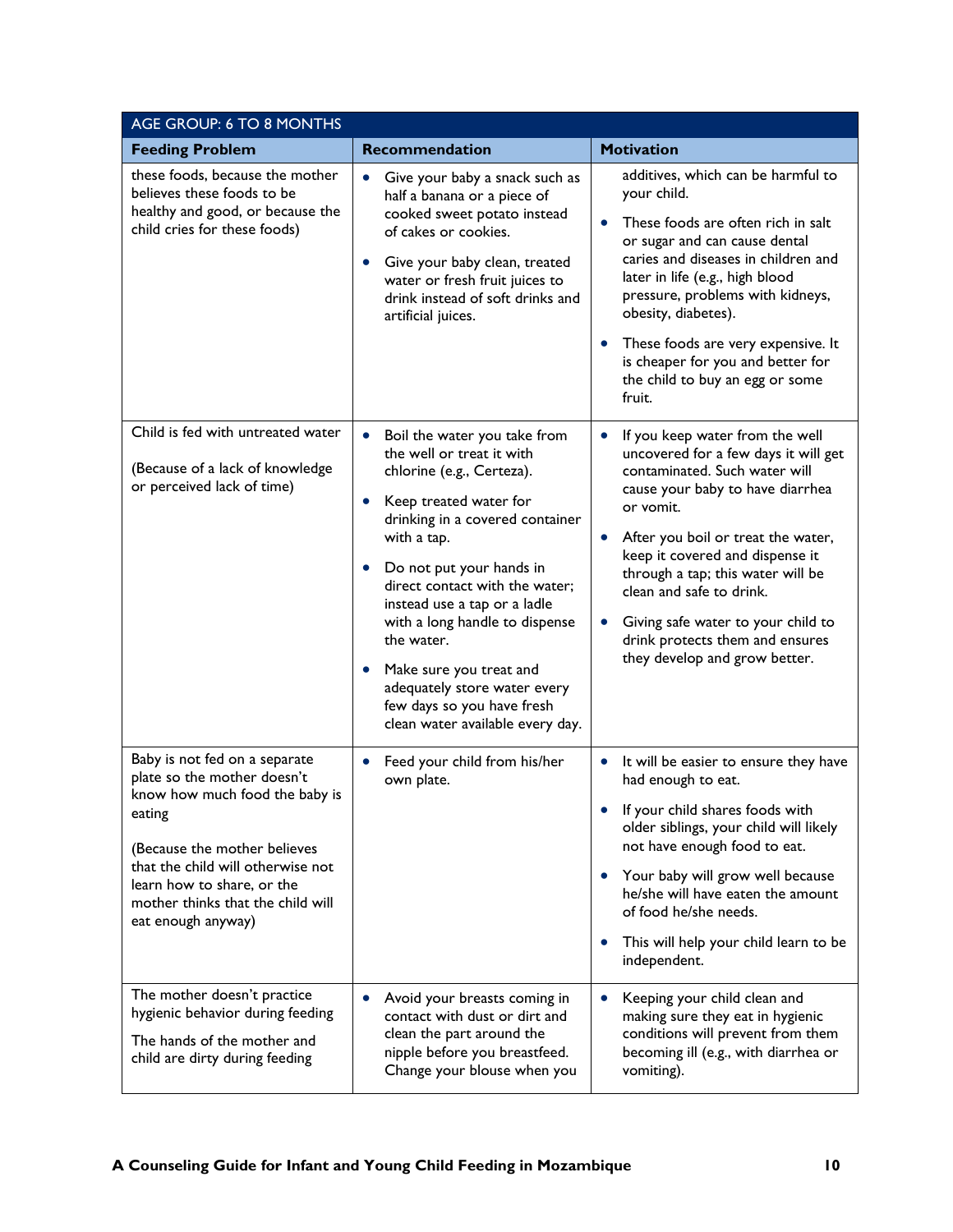| AGE GROUP: 6 TO 8 MONTHS                                                                                                                                                                                                                                                                              |                                                                                                                                                                                                                                                                                                                                                                                                                                                                                                   |                                                                                                                                                                                                                                                                                                                                                                                                                    |
|-------------------------------------------------------------------------------------------------------------------------------------------------------------------------------------------------------------------------------------------------------------------------------------------------------|---------------------------------------------------------------------------------------------------------------------------------------------------------------------------------------------------------------------------------------------------------------------------------------------------------------------------------------------------------------------------------------------------------------------------------------------------------------------------------------------------|--------------------------------------------------------------------------------------------------------------------------------------------------------------------------------------------------------------------------------------------------------------------------------------------------------------------------------------------------------------------------------------------------------------------|
| <b>Feeding Problem</b>                                                                                                                                                                                                                                                                                | Recommendation                                                                                                                                                                                                                                                                                                                                                                                                                                                                                    | <b>Motivation</b>                                                                                                                                                                                                                                                                                                                                                                                                  |
| these foods, because the mother<br>believes these foods to be<br>healthy and good, or because the<br>child cries for these foods)                                                                                                                                                                     | Give your baby a snack such as<br>$\bullet$<br>half a banana or a piece of<br>cooked sweet potato instead<br>of cakes or cookies.<br>Give your baby clean, treated<br>$\bullet$<br>water or fresh fruit juices to<br>drink instead of soft drinks and<br>artificial juices.                                                                                                                                                                                                                       | additives, which can be harmful to<br>your child.<br>These foods are often rich in salt<br>or sugar and can cause dental<br>caries and diseases in children and<br>later in life (e.g., high blood<br>pressure, problems with kidneys,<br>obesity, diabetes).<br>These foods are very expensive. It<br>$\bullet$<br>is cheaper for you and better for<br>the child to buy an egg or some<br>fruit.                 |
| Child is fed with untreated water<br>(Because of a lack of knowledge<br>or perceived lack of time)                                                                                                                                                                                                    | $\bullet$<br>Boil the water you take from<br>the well or treat it with<br>chlorine (e.g., Certeza).<br>Keep treated water for<br>$\bullet$<br>drinking in a covered container<br>with a tap.<br>Do not put your hands in<br>$\bullet$<br>direct contact with the water;<br>instead use a tap or a ladle<br>with a long handle to dispense<br>the water.<br>Make sure you treat and<br>$\bullet$<br>adequately store water every<br>few days so you have fresh<br>clean water available every day. | If you keep water from the well<br>٠<br>uncovered for a few days it will get<br>contaminated. Such water will<br>cause your baby to have diarrhea<br>or vomit.<br>After you boil or treat the water,<br>keep it covered and dispense it<br>through a tap; this water will be<br>clean and safe to drink.<br>Giving safe water to your child to<br>drink protects them and ensures<br>they develop and grow better. |
| Baby is not fed on a separate<br>plate so the mother doesn't<br>know how much food the baby is<br>eating<br>(Because the mother believes<br>that the child will otherwise not<br>learn how to share, or the<br>mother thinks that the child will<br>eat enough anyway)<br>The mother doesn't practice | Feed your child from his/her<br>$\bullet$<br>own plate.                                                                                                                                                                                                                                                                                                                                                                                                                                           | It will be easier to ensure they have<br>$\bullet$<br>had enough to eat.<br>If your child shares foods with<br>older siblings, your child will likely<br>not have enough food to eat.<br>Your baby will grow well because<br>$\bullet$<br>he/she will have eaten the amount<br>of food he/she needs.<br>This will help your child learn to be<br>independent.                                                      |
| hygienic behavior during feeding<br>The hands of the mother and<br>child are dirty during feeding                                                                                                                                                                                                     | Avoid your breasts coming in<br>$\bullet$<br>contact with dust or dirt and<br>clean the part around the<br>nipple before you breastfeed.<br>Change your blouse when you                                                                                                                                                                                                                                                                                                                           | Keeping your child clean and<br>making sure they eat in hygienic<br>conditions will prevent from them<br>becoming ill (e.g., with diarrhea or<br>vomiting).                                                                                                                                                                                                                                                        |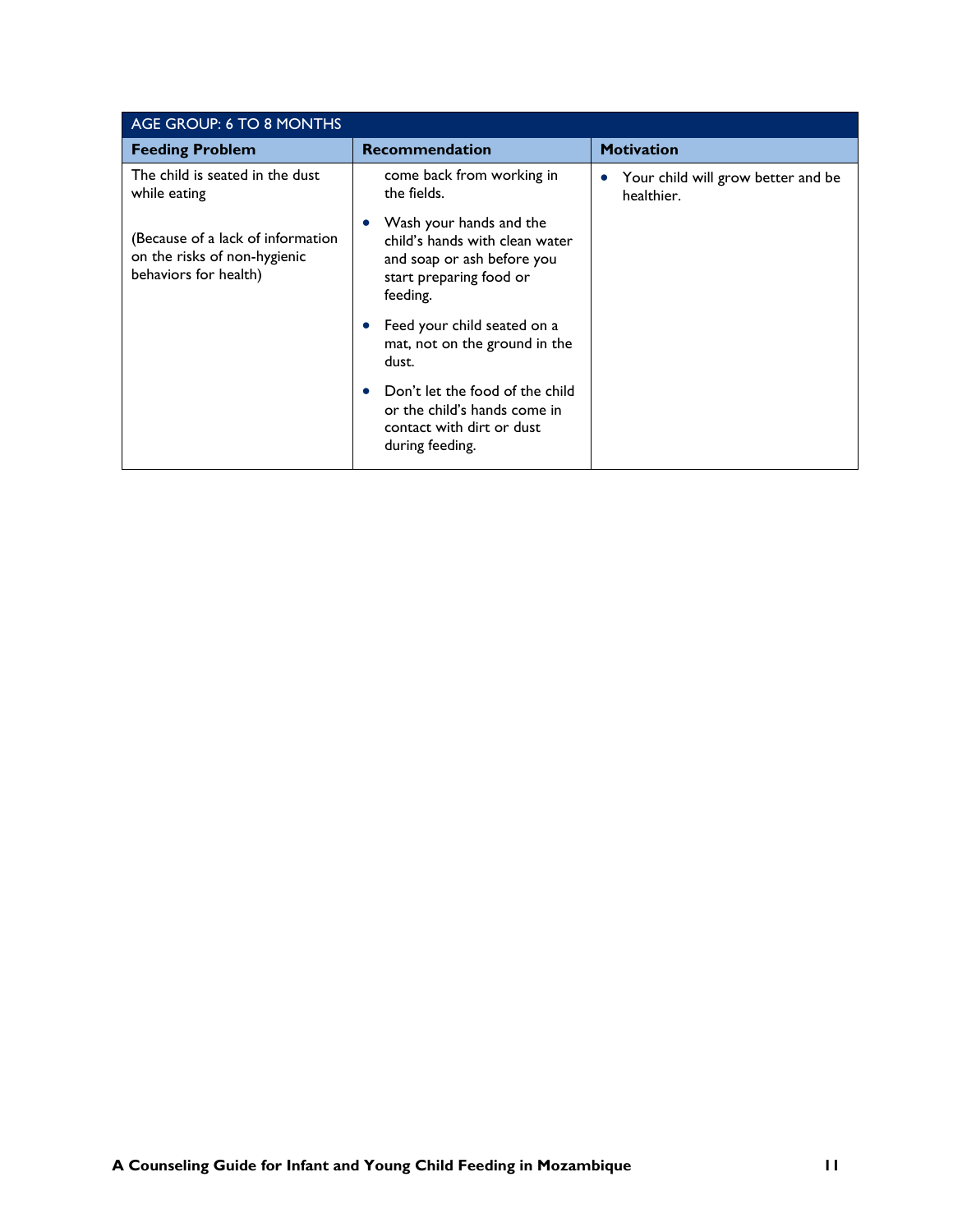| AGE GROUP: 6 TO 8 MONTHS                                                                   |                                                                                                                                             |                                                  |
|--------------------------------------------------------------------------------------------|---------------------------------------------------------------------------------------------------------------------------------------------|--------------------------------------------------|
| <b>Feeding Problem</b>                                                                     | <b>Recommendation</b>                                                                                                                       | <b>Motivation</b>                                |
| The child is seated in the dust<br>while eating                                            | come back from working in<br>the fields.                                                                                                    | Your child will grow better and be<br>healthier. |
| (Because of a lack of information<br>on the risks of non-hygienic<br>behaviors for health) | Wash your hands and the<br>$\bullet$<br>child's hands with clean water<br>and soap or ash before you<br>start preparing food or<br>feeding. |                                                  |
|                                                                                            | Feed your child seated on a<br>mat, not on the ground in the<br>dust.                                                                       |                                                  |
|                                                                                            | Don't let the food of the child<br>or the child's hands come in<br>contact with dirt or dust<br>during feeding.                             |                                                  |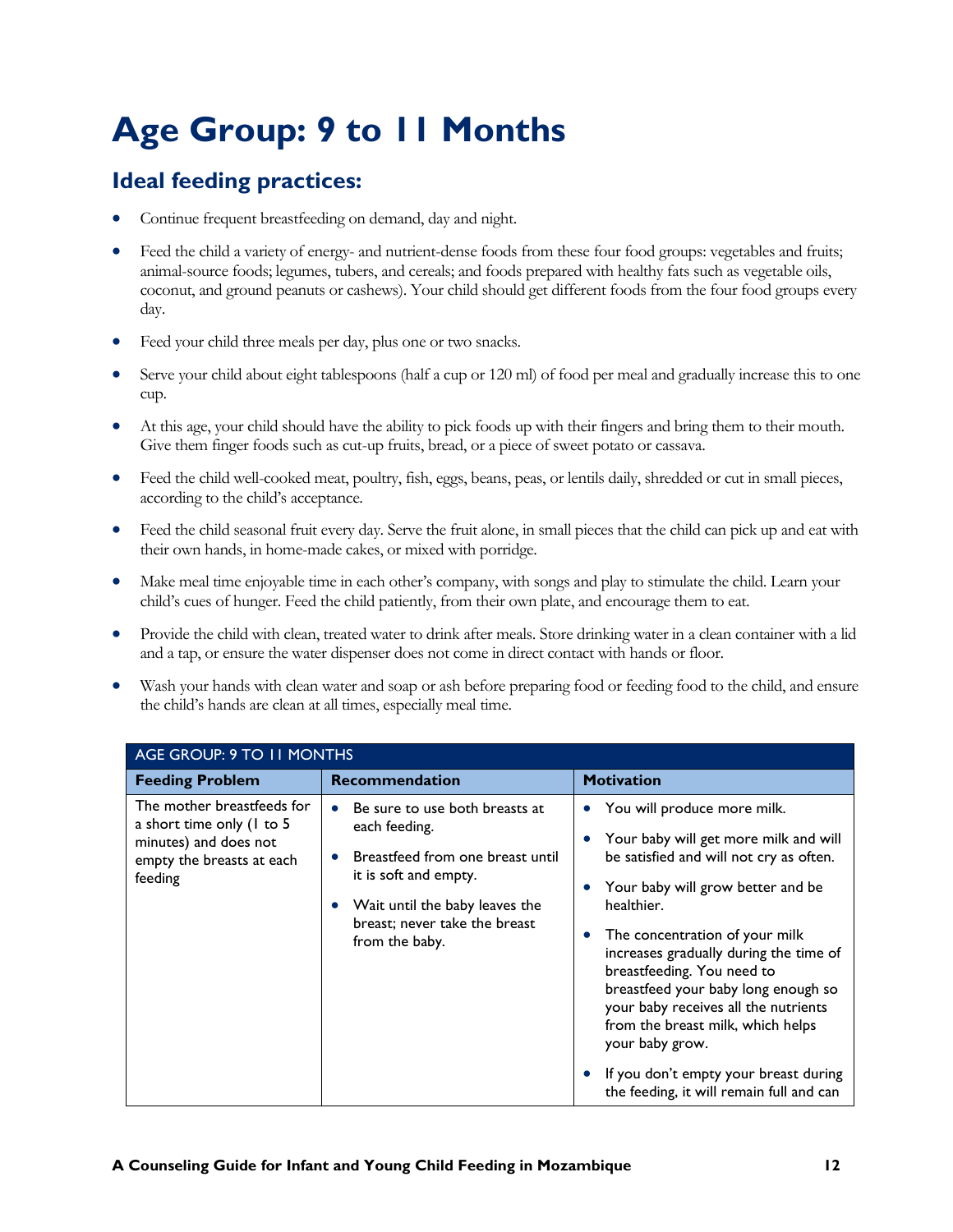### <span id="page-14-0"></span>**Age Group: 9 to 11 Months**

- Continue frequent breastfeeding on demand, day and night.
- Feed the child a variety of energy- and nutrient-dense foods from these four food groups: vegetables and fruits; animal-source foods; legumes, tubers, and cereals; and foods prepared with healthy fats such as vegetable oils, coconut, and ground peanuts or cashews). Your child should get different foods from the four food groups every day.
- Feed your child three meals per day, plus one or two snacks.
- Serve your child about eight tablespoons (half a cup or 120 ml) of food per meal and gradually increase this to one cup.
- At this age, your child should have the ability to pick foods up with their fingers and bring them to their mouth. Give them finger foods such as cut-up fruits, bread, or a piece of sweet potato or cassava.
- Feed the child well-cooked meat, poultry, fish, eggs, beans, peas, or lentils daily, shredded or cut in small pieces, according to the child's acceptance.
- Feed the child seasonal fruit every day. Serve the fruit alone, in small pieces that the child can pick up and eat with their own hands, in home-made cakes, or mixed with porridge.
- Make meal time enjoyable time in each other's company, with songs and play to stimulate the child. Learn your child's cues of hunger. Feed the child patiently, from their own plate, and encourage them to eat.
- Provide the child with clean, treated water to drink after meals. Store drinking water in a clean container with a lid and a tap, or ensure the water dispenser does not come in direct contact with hands or floor.
- Wash your hands with clean water and soap or ash before preparing food or feeding food to the child, and ensure the child's hands are clean at all times, especially meal time.

| <b>AGE GROUP: 9 TO 11 MONTHS</b>                                                                                         |                                                                                                                                                                                                                |                                                                                                                                                                                                                                                                                                                                                                                                                                                                                                                                    |
|--------------------------------------------------------------------------------------------------------------------------|----------------------------------------------------------------------------------------------------------------------------------------------------------------------------------------------------------------|------------------------------------------------------------------------------------------------------------------------------------------------------------------------------------------------------------------------------------------------------------------------------------------------------------------------------------------------------------------------------------------------------------------------------------------------------------------------------------------------------------------------------------|
| <b>Feeding Problem</b>                                                                                                   | <b>Recommendation</b>                                                                                                                                                                                          | <b>Motivation</b>                                                                                                                                                                                                                                                                                                                                                                                                                                                                                                                  |
| The mother breastfeeds for<br>a short time only (1 to 5<br>minutes) and does not<br>empty the breasts at each<br>feeding | Be sure to use both breasts at<br>$\bullet$<br>each feeding.<br>Breastfeed from one breast until<br>it is soft and empty.<br>Wait until the baby leaves the<br>breast; never take the breast<br>from the baby. | You will produce more milk.<br>$\bullet$<br>Your baby will get more milk and will<br>be satisfied and will not cry as often.<br>Your baby will grow better and be<br>healthier.<br>The concentration of your milk<br>$\bullet$<br>increases gradually during the time of<br>breastfeeding. You need to<br>breastfeed your baby long enough so<br>your baby receives all the nutrients<br>from the breast milk, which helps<br>your baby grow.<br>If you don't empty your breast during<br>the feeding, it will remain full and can |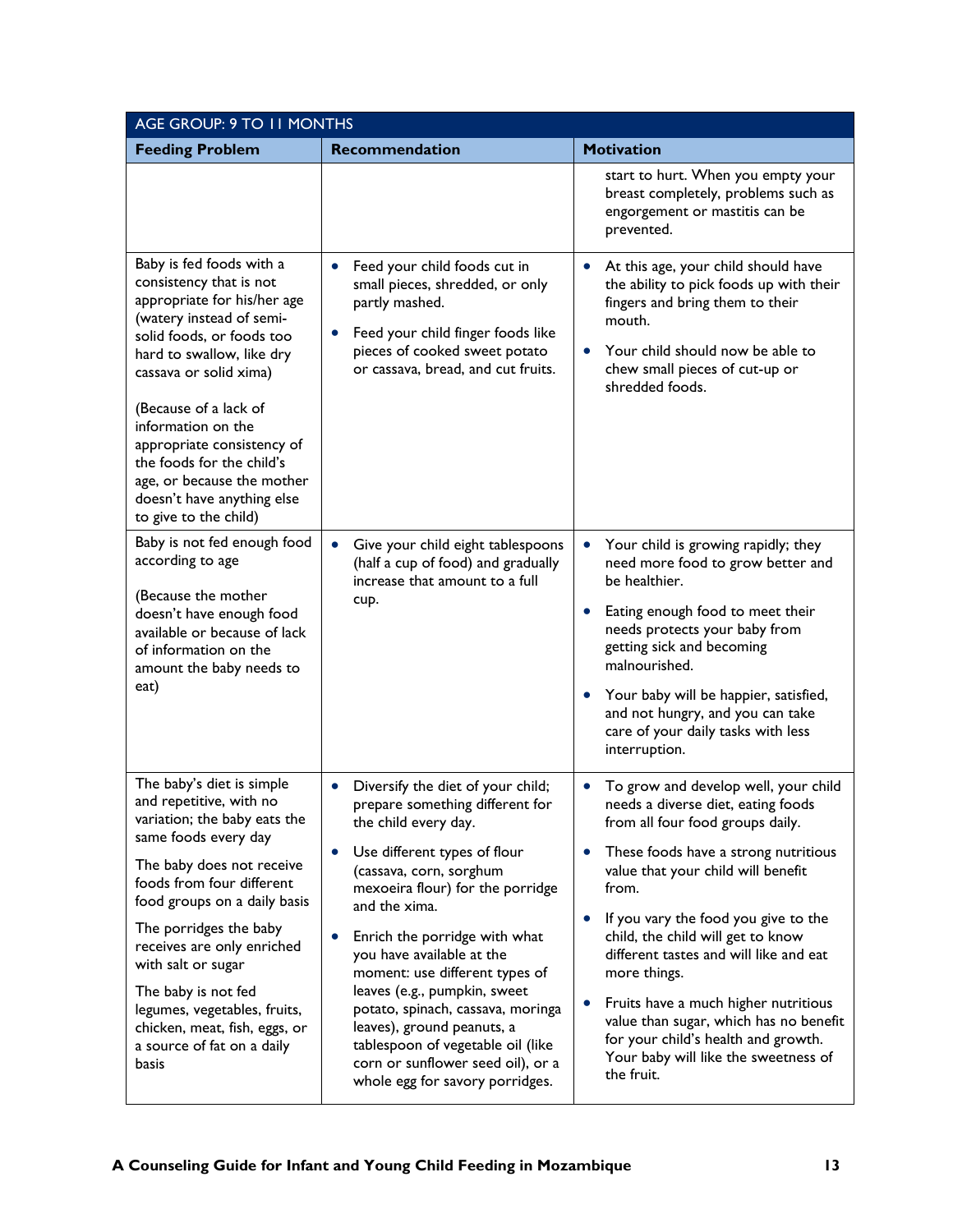| AGE GROUP: 9 TO 11 MONTHS                                                                                                                                                                                                                                                                                                                                                                                           |                                                                                                                                                                                                                                                                                                                                                                                                                                                                                                                                           |                                                                                                                                                                                                                                                                                                                                                                                                                                                                                                                             |
|---------------------------------------------------------------------------------------------------------------------------------------------------------------------------------------------------------------------------------------------------------------------------------------------------------------------------------------------------------------------------------------------------------------------|-------------------------------------------------------------------------------------------------------------------------------------------------------------------------------------------------------------------------------------------------------------------------------------------------------------------------------------------------------------------------------------------------------------------------------------------------------------------------------------------------------------------------------------------|-----------------------------------------------------------------------------------------------------------------------------------------------------------------------------------------------------------------------------------------------------------------------------------------------------------------------------------------------------------------------------------------------------------------------------------------------------------------------------------------------------------------------------|
| <b>Feeding Problem</b>                                                                                                                                                                                                                                                                                                                                                                                              | <b>Recommendation</b>                                                                                                                                                                                                                                                                                                                                                                                                                                                                                                                     | <b>Motivation</b>                                                                                                                                                                                                                                                                                                                                                                                                                                                                                                           |
|                                                                                                                                                                                                                                                                                                                                                                                                                     |                                                                                                                                                                                                                                                                                                                                                                                                                                                                                                                                           | start to hurt. When you empty your<br>breast completely, problems such as<br>engorgement or mastitis can be<br>prevented.                                                                                                                                                                                                                                                                                                                                                                                                   |
| Baby is fed foods with a<br>consistency that is not<br>appropriate for his/her age<br>(watery instead of semi-<br>solid foods, or foods too<br>hard to swallow, like dry<br>cassava or solid xima)<br>(Because of a lack of<br>information on the<br>appropriate consistency of<br>the foods for the child's<br>age, or because the mother<br>doesn't have anything else<br>to give to the child)                   | Feed your child foods cut in<br>small pieces, shredded, or only<br>partly mashed.<br>Feed your child finger foods like<br>pieces of cooked sweet potato<br>or cassava, bread, and cut fruits.                                                                                                                                                                                                                                                                                                                                             | At this age, your child should have<br>the ability to pick foods up with their<br>fingers and bring them to their<br>mouth.<br>Your child should now be able to<br>chew small pieces of cut-up or<br>shredded foods.                                                                                                                                                                                                                                                                                                        |
| Baby is not fed enough food<br>according to age<br>(Because the mother<br>doesn't have enough food<br>available or because of lack<br>of information on the<br>amount the baby needs to<br>eat)                                                                                                                                                                                                                     | Give your child eight tablespoons<br>$\bullet$<br>(half a cup of food) and gradually<br>increase that amount to a full<br>cup.                                                                                                                                                                                                                                                                                                                                                                                                            | Your child is growing rapidly; they<br>$\bullet$<br>need more food to grow better and<br>be healthier.<br>Eating enough food to meet their<br>needs protects your baby from<br>getting sick and becoming<br>malnourished.<br>Your baby will be happier, satisfied,<br>and not hungry, and you can take<br>care of your daily tasks with less<br>interruption.                                                                                                                                                               |
| The baby's diet is simple<br>and repetitive, with no<br>variation; the baby eats the<br>same foods every day<br>The baby does not receive<br>foods from four different<br>food groups on a daily basis<br>The porridges the baby<br>receives are only enriched<br>with salt or sugar<br>The baby is not fed<br>legumes, vegetables, fruits,<br>chicken, meat, fish, eggs, or<br>a source of fat on a daily<br>basis | Diversify the diet of your child;<br>$\bullet$<br>prepare something different for<br>the child every day.<br>Use different types of flour<br>(cassava, corn, sorghum<br>mexoeira flour) for the porridge<br>and the xima.<br>Enrich the porridge with what<br>you have available at the<br>moment: use different types of<br>leaves (e.g., pumpkin, sweet<br>potato, spinach, cassava, moringa<br>leaves), ground peanuts, a<br>tablespoon of vegetable oil (like<br>corn or sunflower seed oil), or a<br>whole egg for savory porridges. | To grow and develop well, your child<br>needs a diverse diet, eating foods<br>from all four food groups daily.<br>These foods have a strong nutritious<br>value that your child will benefit<br>from.<br>If you vary the food you give to the<br>child, the child will get to know<br>different tastes and will like and eat<br>more things.<br>Fruits have a much higher nutritious<br>value than sugar, which has no benefit<br>for your child's health and growth.<br>Your baby will like the sweetness of<br>the fruit. |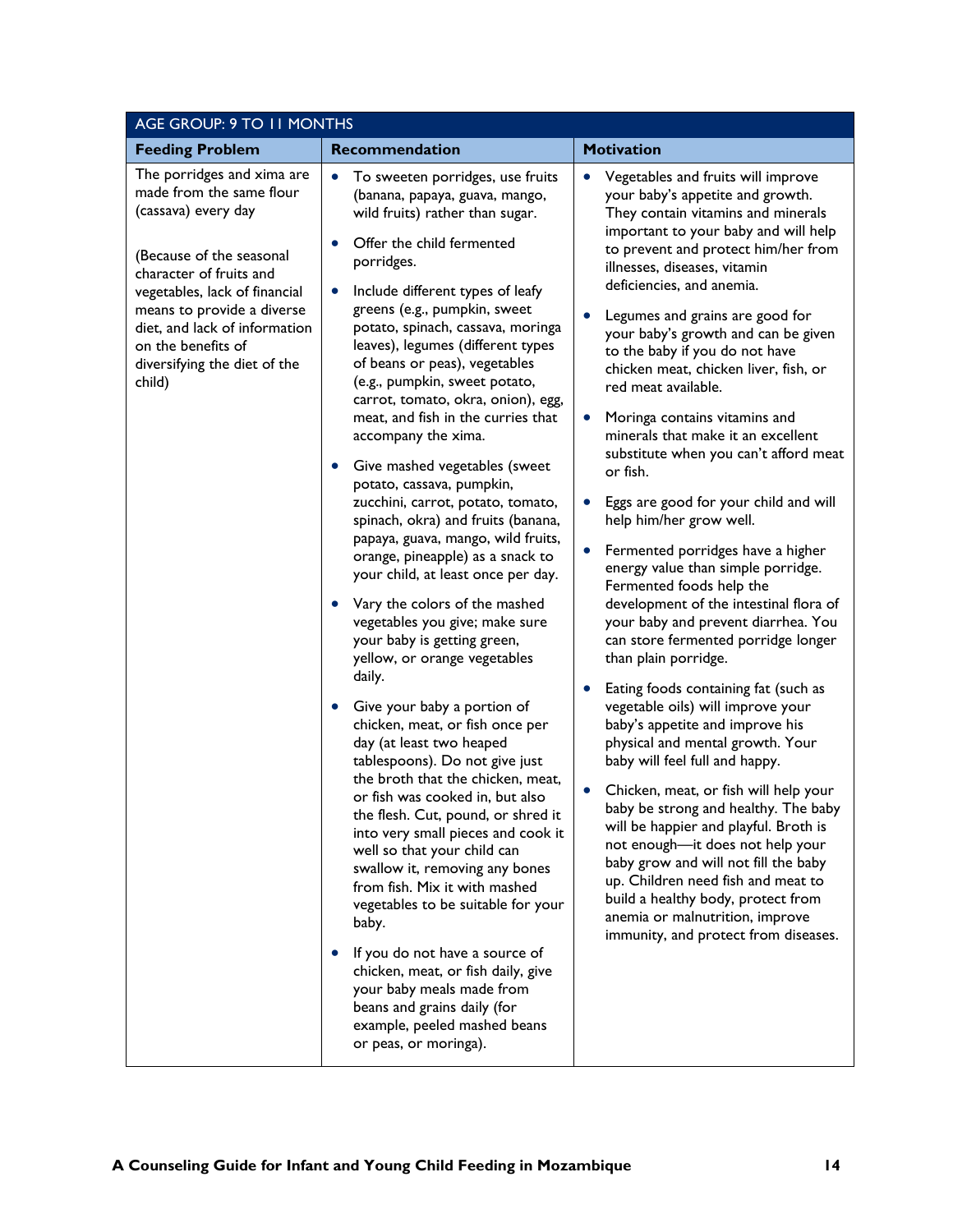| AGE GROUP: 9 TO 11 MONTHS                                                                                                                                                                                                                                                                            |                                                                                                                                                                                                                                                                                                                                                                                                                                                                                                                                                                                                                                                                                                                                                                                                                                                                                                                                                                                                                                                                                                                                                                                                                                                                                                                                                                                                                                                                                                                                      |                                                                                                                                                                                                                                                                                                                                                                                                                                                                                                                                                                                                                                                                                                                                                                                                                                                                                                                                                                                                                                                                                                                                                                                                                                                                                                                                                                                                                                                             |  |
|------------------------------------------------------------------------------------------------------------------------------------------------------------------------------------------------------------------------------------------------------------------------------------------------------|--------------------------------------------------------------------------------------------------------------------------------------------------------------------------------------------------------------------------------------------------------------------------------------------------------------------------------------------------------------------------------------------------------------------------------------------------------------------------------------------------------------------------------------------------------------------------------------------------------------------------------------------------------------------------------------------------------------------------------------------------------------------------------------------------------------------------------------------------------------------------------------------------------------------------------------------------------------------------------------------------------------------------------------------------------------------------------------------------------------------------------------------------------------------------------------------------------------------------------------------------------------------------------------------------------------------------------------------------------------------------------------------------------------------------------------------------------------------------------------------------------------------------------------|-------------------------------------------------------------------------------------------------------------------------------------------------------------------------------------------------------------------------------------------------------------------------------------------------------------------------------------------------------------------------------------------------------------------------------------------------------------------------------------------------------------------------------------------------------------------------------------------------------------------------------------------------------------------------------------------------------------------------------------------------------------------------------------------------------------------------------------------------------------------------------------------------------------------------------------------------------------------------------------------------------------------------------------------------------------------------------------------------------------------------------------------------------------------------------------------------------------------------------------------------------------------------------------------------------------------------------------------------------------------------------------------------------------------------------------------------------------|--|
| <b>Feeding Problem</b>                                                                                                                                                                                                                                                                               | Recommendation                                                                                                                                                                                                                                                                                                                                                                                                                                                                                                                                                                                                                                                                                                                                                                                                                                                                                                                                                                                                                                                                                                                                                                                                                                                                                                                                                                                                                                                                                                                       | <b>Motivation</b>                                                                                                                                                                                                                                                                                                                                                                                                                                                                                                                                                                                                                                                                                                                                                                                                                                                                                                                                                                                                                                                                                                                                                                                                                                                                                                                                                                                                                                           |  |
| The porridges and xima are<br>made from the same flour<br>(cassava) every day<br>(Because of the seasonal<br>character of fruits and<br>vegetables, lack of financial<br>means to provide a diverse<br>diet, and lack of information<br>on the benefits of<br>diversifying the diet of the<br>child) | To sweeten porridges, use fruits<br>$\bullet$<br>(banana, papaya, guava, mango,<br>wild fruits) rather than sugar.<br>Offer the child fermented<br>porridges.<br>Include different types of leafy<br>greens (e.g., pumpkin, sweet<br>potato, spinach, cassava, moringa<br>leaves), legumes (different types<br>of beans or peas), vegetables<br>(e.g., pumpkin, sweet potato,<br>carrot, tomato, okra, onion), egg,<br>meat, and fish in the curries that<br>accompany the xima.<br>Give mashed vegetables (sweet<br>$\bullet$<br>potato, cassava, pumpkin,<br>zucchini, carrot, potato, tomato,<br>spinach, okra) and fruits (banana,<br>papaya, guava, mango, wild fruits,<br>orange, pineapple) as a snack to<br>your child, at least once per day.<br>Vary the colors of the mashed<br>vegetables you give; make sure<br>your baby is getting green,<br>yellow, or orange vegetables<br>daily.<br>Give your baby a portion of<br>chicken, meat, or fish once per<br>day (at least two heaped<br>tablespoons). Do not give just<br>the broth that the chicken, meat,<br>or fish was cooked in, but also<br>the flesh. Cut, pound, or shred it<br>into very small pieces and cook it<br>well so that your child can<br>swallow it, removing any bones<br>from fish. Mix it with mashed<br>vegetables to be suitable for your<br>baby.<br>If you do not have a source of<br>chicken, meat, or fish daily, give<br>your baby meals made from<br>beans and grains daily (for<br>example, peeled mashed beans<br>or peas, or moringa). | Vegetables and fruits will improve<br>your baby's appetite and growth.<br>They contain vitamins and minerals<br>important to your baby and will help<br>to prevent and protect him/her from<br>illnesses, diseases, vitamin<br>deficiencies, and anemia.<br>Legumes and grains are good for<br>your baby's growth and can be given<br>to the baby if you do not have<br>chicken meat, chicken liver, fish, or<br>red meat available.<br>Moringa contains vitamins and<br>$\bullet$<br>minerals that make it an excellent<br>substitute when you can't afford meat<br>or fish.<br>Eggs are good for your child and will<br>help him/her grow well.<br>Fermented porridges have a higher<br>energy value than simple porridge.<br>Fermented foods help the<br>development of the intestinal flora of<br>your baby and prevent diarrhea. You<br>can store fermented porridge longer<br>than plain porridge.<br>Eating foods containing fat (such as<br>vegetable oils) will improve your<br>baby's appetite and improve his<br>physical and mental growth. Your<br>baby will feel full and happy.<br>Chicken, meat, or fish will help your<br>baby be strong and healthy. The baby<br>will be happier and playful. Broth is<br>not enough-it does not help your<br>baby grow and will not fill the baby<br>up. Children need fish and meat to<br>build a healthy body, protect from<br>anemia or malnutrition, improve<br>immunity, and protect from diseases. |  |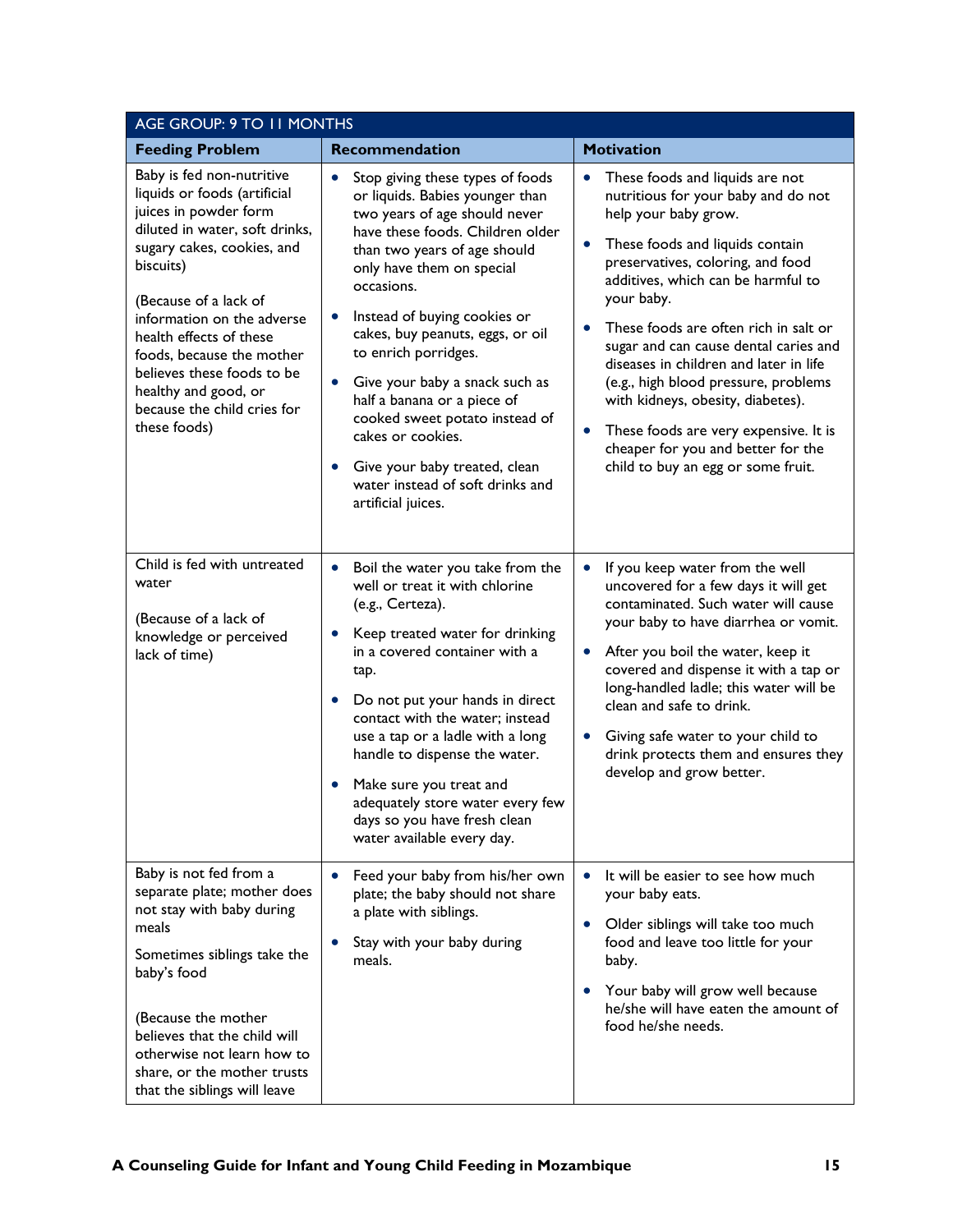| AGE GROUP: 9 TO 11 MONTHS                                                                                                                                                                                                                                                                                                                                                           |                                                                                                                                                                                                                                                                                                                                                                                                                                                                                                                                                                           |                                                                                                                                                                                                                                                                                                                                                                                                                                                                                                                                                                                                 |  |
|-------------------------------------------------------------------------------------------------------------------------------------------------------------------------------------------------------------------------------------------------------------------------------------------------------------------------------------------------------------------------------------|---------------------------------------------------------------------------------------------------------------------------------------------------------------------------------------------------------------------------------------------------------------------------------------------------------------------------------------------------------------------------------------------------------------------------------------------------------------------------------------------------------------------------------------------------------------------------|-------------------------------------------------------------------------------------------------------------------------------------------------------------------------------------------------------------------------------------------------------------------------------------------------------------------------------------------------------------------------------------------------------------------------------------------------------------------------------------------------------------------------------------------------------------------------------------------------|--|
| <b>Feeding Problem</b>                                                                                                                                                                                                                                                                                                                                                              | <b>Recommendation</b>                                                                                                                                                                                                                                                                                                                                                                                                                                                                                                                                                     | <b>Motivation</b>                                                                                                                                                                                                                                                                                                                                                                                                                                                                                                                                                                               |  |
| Baby is fed non-nutritive<br>liquids or foods (artificial<br>juices in powder form<br>diluted in water, soft drinks,<br>sugary cakes, cookies, and<br>biscuits)<br>(Because of a lack of<br>information on the adverse<br>health effects of these<br>foods, because the mother<br>believes these foods to be<br>healthy and good, or<br>because the child cries for<br>these foods) | Stop giving these types of foods<br>$\bullet$<br>or liquids. Babies younger than<br>two years of age should never<br>have these foods. Children older<br>than two years of age should<br>only have them on special<br>occasions.<br>Instead of buying cookies or<br>cakes, buy peanuts, eggs, or oil<br>to enrich porridges.<br>Give your baby a snack such as<br>$\bullet$<br>half a banana or a piece of<br>cooked sweet potato instead of<br>cakes or cookies.<br>Give your baby treated, clean<br>$\bullet$<br>water instead of soft drinks and<br>artificial juices. | These foods and liquids are not<br>$\bullet$<br>nutritious for your baby and do not<br>help your baby grow.<br>These foods and liquids contain<br>$\bullet$<br>preservatives, coloring, and food<br>additives, which can be harmful to<br>your baby.<br>These foods are often rich in salt or<br>sugar and can cause dental caries and<br>diseases in children and later in life<br>(e.g., high blood pressure, problems<br>with kidneys, obesity, diabetes).<br>These foods are very expensive. It is<br>$\bullet$<br>cheaper for you and better for the<br>child to buy an egg or some fruit. |  |
| Child is fed with untreated<br>water<br>(Because of a lack of<br>knowledge or perceived<br>lack of time)                                                                                                                                                                                                                                                                            | Boil the water you take from the<br>$\bullet$<br>well or treat it with chlorine<br>(e.g., Certeza).<br>Keep treated water for drinking<br>in a covered container with a<br>tap.<br>Do not put your hands in direct<br>contact with the water; instead<br>use a tap or a ladle with a long<br>handle to dispense the water.<br>Make sure you treat and<br>adequately store water every few<br>days so you have fresh clean<br>water available every day.                                                                                                                   | If you keep water from the well<br>$\bullet$<br>uncovered for a few days it will get<br>contaminated. Such water will cause<br>your baby to have diarrhea or vomit.<br>After you boil the water, keep it<br>covered and dispense it with a tap or<br>long-handled ladle; this water will be<br>clean and safe to drink.<br>Giving safe water to your child to<br>drink protects them and ensures they<br>develop and grow better.                                                                                                                                                               |  |
| Baby is not fed from a<br>separate plate; mother does<br>not stay with baby during<br>meals<br>Sometimes siblings take the<br>baby's food<br>(Because the mother<br>believes that the child will<br>otherwise not learn how to<br>share, or the mother trusts<br>that the siblings will leave                                                                                       | Feed your baby from his/her own<br>$\bullet$<br>plate; the baby should not share<br>a plate with siblings.<br>Stay with your baby during<br>meals.                                                                                                                                                                                                                                                                                                                                                                                                                        | It will be easier to see how much<br>$\bullet$<br>your baby eats.<br>Older siblings will take too much<br>food and leave too little for your<br>baby.<br>Your baby will grow well because<br>he/she will have eaten the amount of<br>food he/she needs.                                                                                                                                                                                                                                                                                                                                         |  |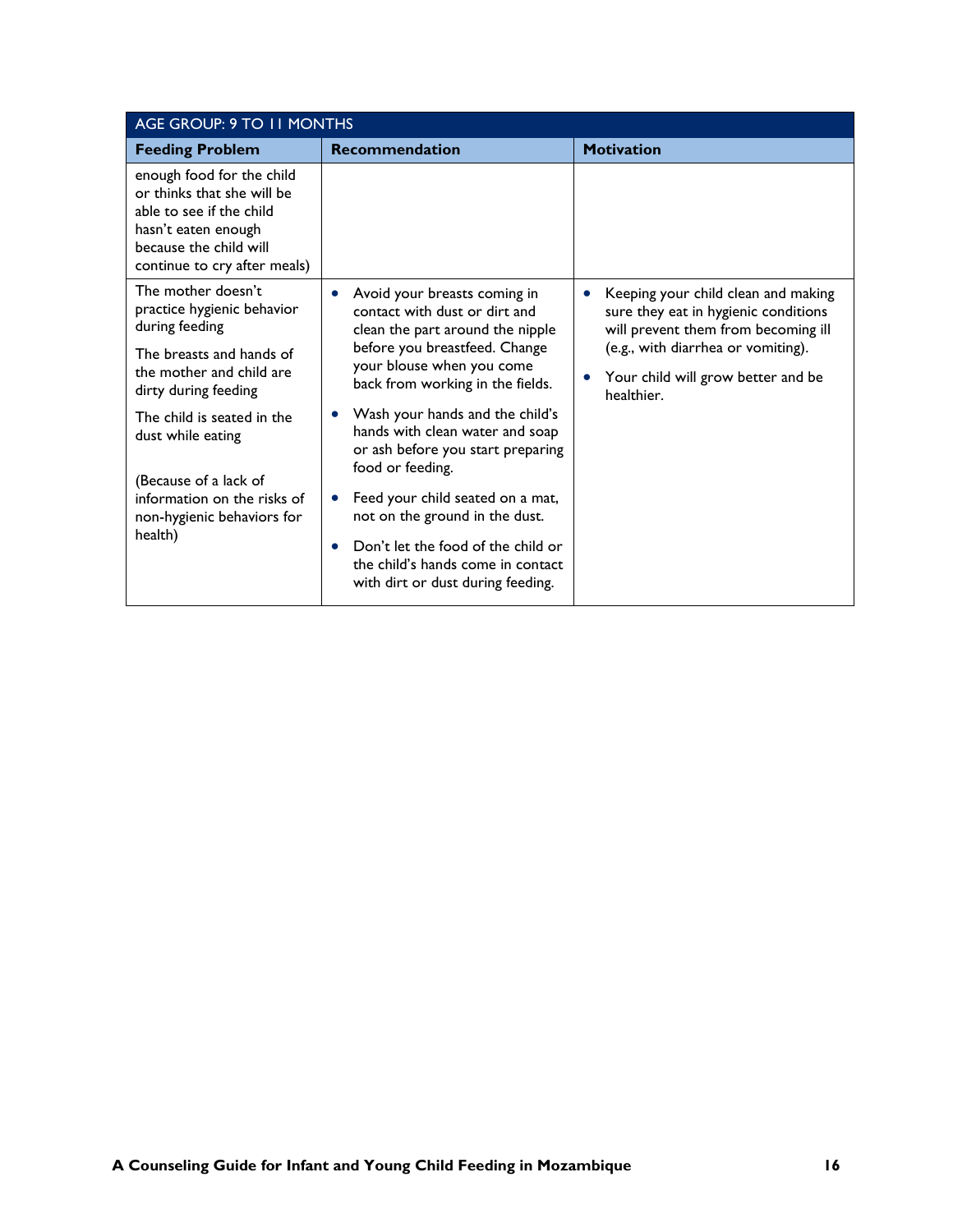| AGE GROUP: 9 TO 11 MONTHS                                                                                                                                            |                                                                                                                             |                                                                                                                    |  |
|----------------------------------------------------------------------------------------------------------------------------------------------------------------------|-----------------------------------------------------------------------------------------------------------------------------|--------------------------------------------------------------------------------------------------------------------|--|
| <b>Feeding Problem</b>                                                                                                                                               | <b>Recommendation</b>                                                                                                       | <b>Motivation</b>                                                                                                  |  |
| enough food for the child<br>or thinks that she will be<br>able to see if the child<br>hasn't eaten enough<br>because the child will<br>continue to cry after meals) |                                                                                                                             |                                                                                                                    |  |
| The mother doesn't<br>practice hygienic behavior<br>during feeding                                                                                                   | Avoid your breasts coming in<br>contact with dust or dirt and<br>clean the part around the nipple                           | Keeping your child clean and making<br>sure they eat in hygienic conditions<br>will prevent them from becoming ill |  |
| The breasts and hands of<br>the mother and child are<br>dirty during feeding                                                                                         | before you breastfeed. Change<br>your blouse when you come<br>back from working in the fields.                              | (e.g., with diarrhea or vomiting).<br>Your child will grow better and be<br>healthier.                             |  |
| The child is seated in the<br>dust while eating                                                                                                                      | Wash your hands and the child's<br>hands with clean water and soap<br>or ash before you start preparing<br>food or feeding. |                                                                                                                    |  |
| (Because of a lack of<br>information on the risks of<br>non-hygienic behaviors for<br>health)                                                                        | Feed your child seated on a mat,<br>$\bullet$<br>not on the ground in the dust.<br>Don't let the food of the child or       |                                                                                                                    |  |
|                                                                                                                                                                      | $\bullet$<br>the child's hands come in contact<br>with dirt or dust during feeding.                                         |                                                                                                                    |  |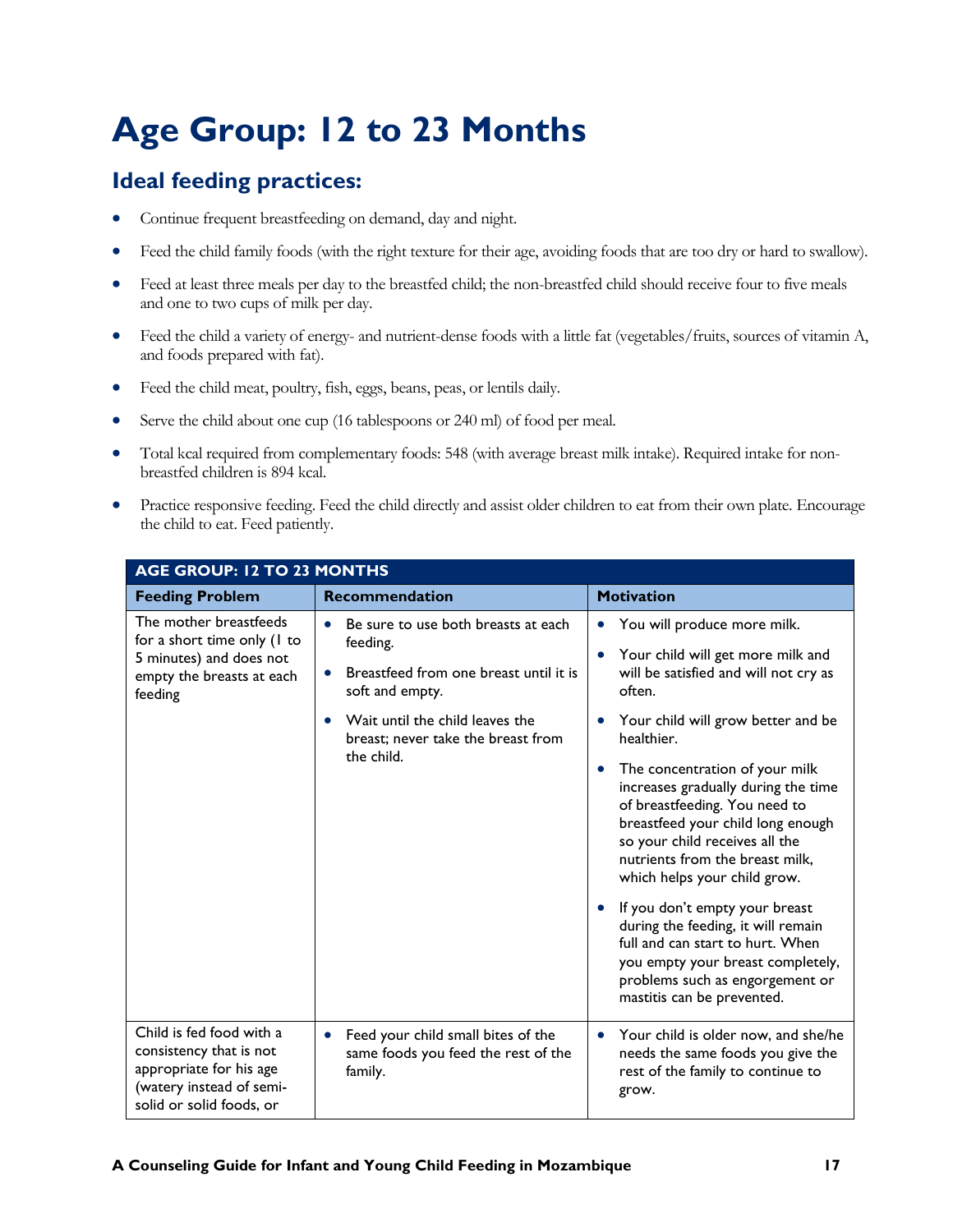### <span id="page-19-0"></span>**Age Group: 12 to 23 Months**

- Continue frequent breastfeeding on demand, day and night.
- Feed the child family foods (with the right texture for their age, avoiding foods that are too dry or hard to swallow).
- Feed at least three meals per day to the breastfed child; the non-breastfed child should receive four to five meals and one to two cups of milk per day.
- Feed the child a variety of energy- and nutrient-dense foods with a little fat (vegetables/fruits, sources of vitamin A, and foods prepared with fat).
- Feed the child meat, poultry, fish, eggs, beans, peas, or lentils daily.
- Serve the child about one cup (16 tablespoons or 240 ml) of food per meal.
- Total kcal required from complementary foods: 548 (with average breast milk intake). Required intake for nonbreastfed children is 894 kcal.
- Practice responsive feeding. Feed the child directly and assist older children to eat from their own plate. Encourage the child to eat. Feed patiently.

| AGE GROUP: 12 TO 23 MONTHS                                                                                                             |                                                                                                                                                                                                                  |                                                                                                                                                                                                                                                                                                                                                                                                                                                                                                                                                                                                                                                                              |  |
|----------------------------------------------------------------------------------------------------------------------------------------|------------------------------------------------------------------------------------------------------------------------------------------------------------------------------------------------------------------|------------------------------------------------------------------------------------------------------------------------------------------------------------------------------------------------------------------------------------------------------------------------------------------------------------------------------------------------------------------------------------------------------------------------------------------------------------------------------------------------------------------------------------------------------------------------------------------------------------------------------------------------------------------------------|--|
| <b>Feeding Problem</b>                                                                                                                 | <b>Recommendation</b>                                                                                                                                                                                            | <b>Motivation</b>                                                                                                                                                                                                                                                                                                                                                                                                                                                                                                                                                                                                                                                            |  |
| The mother breastfeeds<br>for a short time only (1 to<br>5 minutes) and does not<br>empty the breasts at each<br>feeding               | Be sure to use both breasts at each<br>$\bullet$<br>feeding.<br>Breastfeed from one breast until it is<br>soft and empty.<br>Wait until the child leaves the<br>breast; never take the breast from<br>the child. | You will produce more milk.<br>$\bullet$<br>Your child will get more milk and<br>$\bullet$<br>will be satisfied and will not cry as<br>often.<br>Your child will grow better and be<br>healthier.<br>The concentration of your milk<br>٠<br>increases gradually during the time<br>of breastfeeding. You need to<br>breastfeed your child long enough<br>so your child receives all the<br>nutrients from the breast milk,<br>which helps your child grow.<br>If you don't empty your breast<br>during the feeding, it will remain<br>full and can start to hurt. When<br>you empty your breast completely,<br>problems such as engorgement or<br>mastitis can be prevented. |  |
| Child is fed food with a<br>consistency that is not<br>appropriate for his age<br>(watery instead of semi-<br>solid or solid foods, or | Feed your child small bites of the<br>$\bullet$<br>same foods you feed the rest of the<br>family.                                                                                                                | Your child is older now, and she/he<br>$\bullet$<br>needs the same foods you give the<br>rest of the family to continue to<br>grow.                                                                                                                                                                                                                                                                                                                                                                                                                                                                                                                                          |  |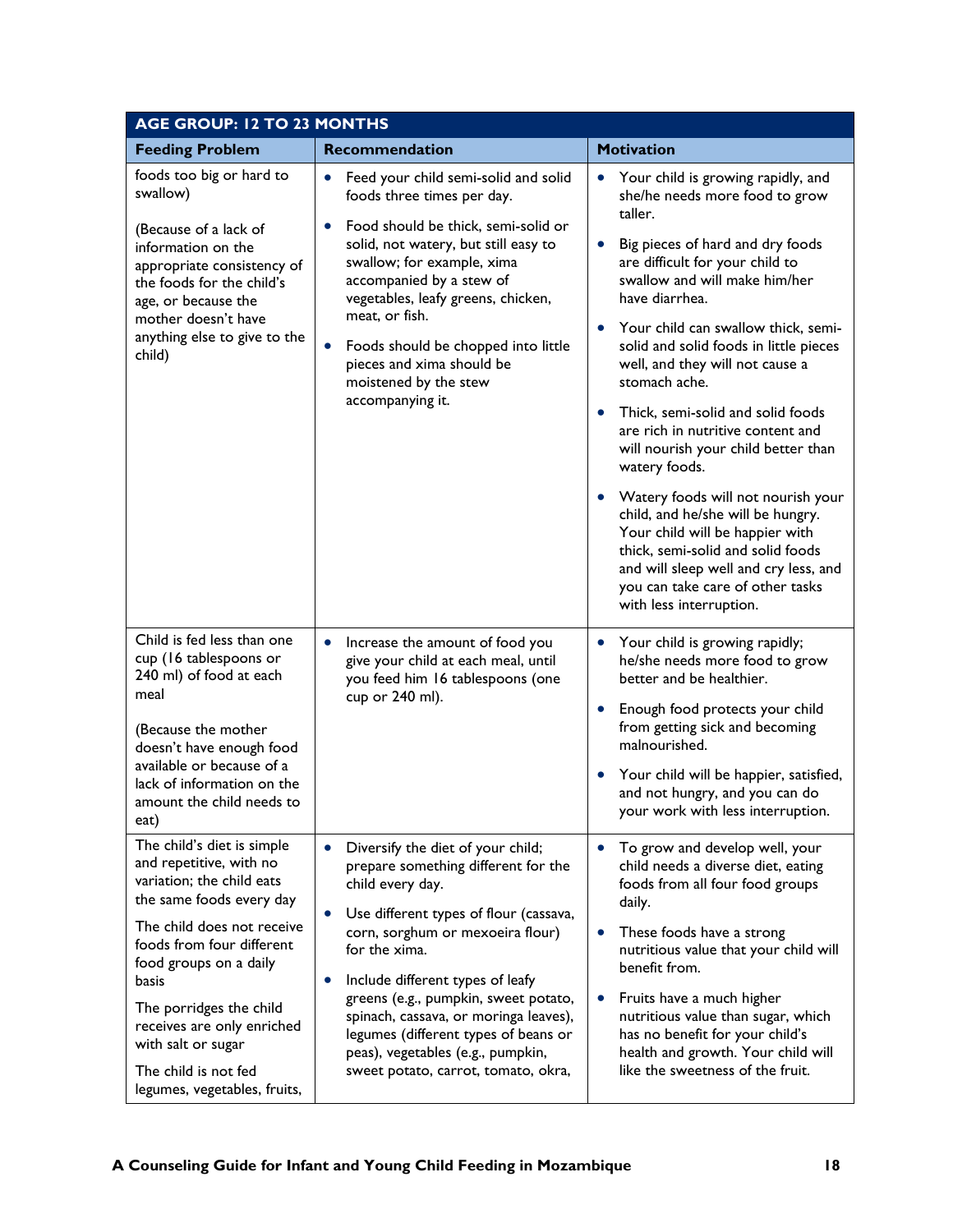| <b>AGE GROUP: 12 TO 23 MONTHS</b>                                                                                                                                                                                                                                                                                                                   |                                                                                                                                                                                                                                                                                                                                                                                                                                                                             |                                                                                                                                                                                                                                                                                                                                                                                                                                                                                                                                                                                                                                                                                                                                                                                                              |  |
|-----------------------------------------------------------------------------------------------------------------------------------------------------------------------------------------------------------------------------------------------------------------------------------------------------------------------------------------------------|-----------------------------------------------------------------------------------------------------------------------------------------------------------------------------------------------------------------------------------------------------------------------------------------------------------------------------------------------------------------------------------------------------------------------------------------------------------------------------|--------------------------------------------------------------------------------------------------------------------------------------------------------------------------------------------------------------------------------------------------------------------------------------------------------------------------------------------------------------------------------------------------------------------------------------------------------------------------------------------------------------------------------------------------------------------------------------------------------------------------------------------------------------------------------------------------------------------------------------------------------------------------------------------------------------|--|
| <b>Feeding Problem</b>                                                                                                                                                                                                                                                                                                                              | <b>Recommendation</b>                                                                                                                                                                                                                                                                                                                                                                                                                                                       | <b>Motivation</b>                                                                                                                                                                                                                                                                                                                                                                                                                                                                                                                                                                                                                                                                                                                                                                                            |  |
| foods too big or hard to<br>swallow)<br>(Because of a lack of<br>information on the<br>appropriate consistency of<br>the foods for the child's<br>age, or because the<br>mother doesn't have<br>anything else to give to the<br>child)                                                                                                              | Feed your child semi-solid and solid<br>$\bullet$<br>foods three times per day.<br>Food should be thick, semi-solid or<br>$\bullet$<br>solid, not watery, but still easy to<br>swallow; for example, xima<br>accompanied by a stew of<br>vegetables, leafy greens, chicken,<br>meat, or fish.<br>$\bullet$<br>Foods should be chopped into little<br>pieces and xima should be<br>moistened by the stew<br>accompanying it.                                                 | Your child is growing rapidly, and<br>$\bullet$<br>she/he needs more food to grow<br>taller.<br>Big pieces of hard and dry foods<br>$\bullet$<br>are difficult for your child to<br>swallow and will make him/her<br>have diarrhea.<br>Your child can swallow thick, semi-<br>$\bullet$<br>solid and solid foods in little pieces<br>well, and they will not cause a<br>stomach ache.<br>Thick, semi-solid and solid foods<br>$\bullet$<br>are rich in nutritive content and<br>will nourish your child better than<br>watery foods.<br>Watery foods will not nourish your<br>$\bullet$<br>child, and he/she will be hungry.<br>Your child will be happier with<br>thick, semi-solid and solid foods<br>and will sleep well and cry less, and<br>you can take care of other tasks<br>with less interruption. |  |
| Child is fed less than one<br>cup (16 tablespoons or<br>240 ml) of food at each<br>meal<br>(Because the mother<br>doesn't have enough food<br>available or because of a<br>lack of information on the<br>amount the child needs to<br>eat)                                                                                                          | Increase the amount of food you<br>$\bullet$<br>give your child at each meal, until<br>you feed him 16 tablespoons (one<br>cup or 240 ml).                                                                                                                                                                                                                                                                                                                                  | Your child is growing rapidly;<br>$\bullet$<br>he/she needs more food to grow<br>better and be healthier.<br>Enough food protects your child<br>$\bullet$<br>from getting sick and becoming<br>malnourished.<br>Your child will be happier, satisfied,<br>$\bullet$<br>and not hungry, and you can do<br>your work with less interruption.                                                                                                                                                                                                                                                                                                                                                                                                                                                                   |  |
| The child's diet is simple<br>and repetitive, with no<br>variation; the child eats<br>the same foods every day<br>The child does not receive<br>foods from four different<br>food groups on a daily<br>basis<br>The porridges the child<br>receives are only enriched<br>with salt or sugar<br>The child is not fed<br>legumes, vegetables, fruits, | Diversify the diet of your child;<br>$\bullet$<br>prepare something different for the<br>child every day.<br>Use different types of flour (cassava,<br>$\bullet$<br>corn, sorghum or mexoeira flour)<br>for the xima.<br>Include different types of leafy<br>$\bullet$<br>greens (e.g., pumpkin, sweet potato,<br>spinach, cassava, or moringa leaves),<br>legumes (different types of beans or<br>peas), vegetables (e.g., pumpkin,<br>sweet potato, carrot, tomato, okra, | To grow and develop well, your<br>$\bullet$<br>child needs a diverse diet, eating<br>foods from all four food groups<br>daily.<br>These foods have a strong<br>$\bullet$<br>nutritious value that your child will<br>benefit from.<br>Fruits have a much higher<br>$\bullet$<br>nutritious value than sugar, which<br>has no benefit for your child's<br>health and growth. Your child will<br>like the sweetness of the fruit.                                                                                                                                                                                                                                                                                                                                                                              |  |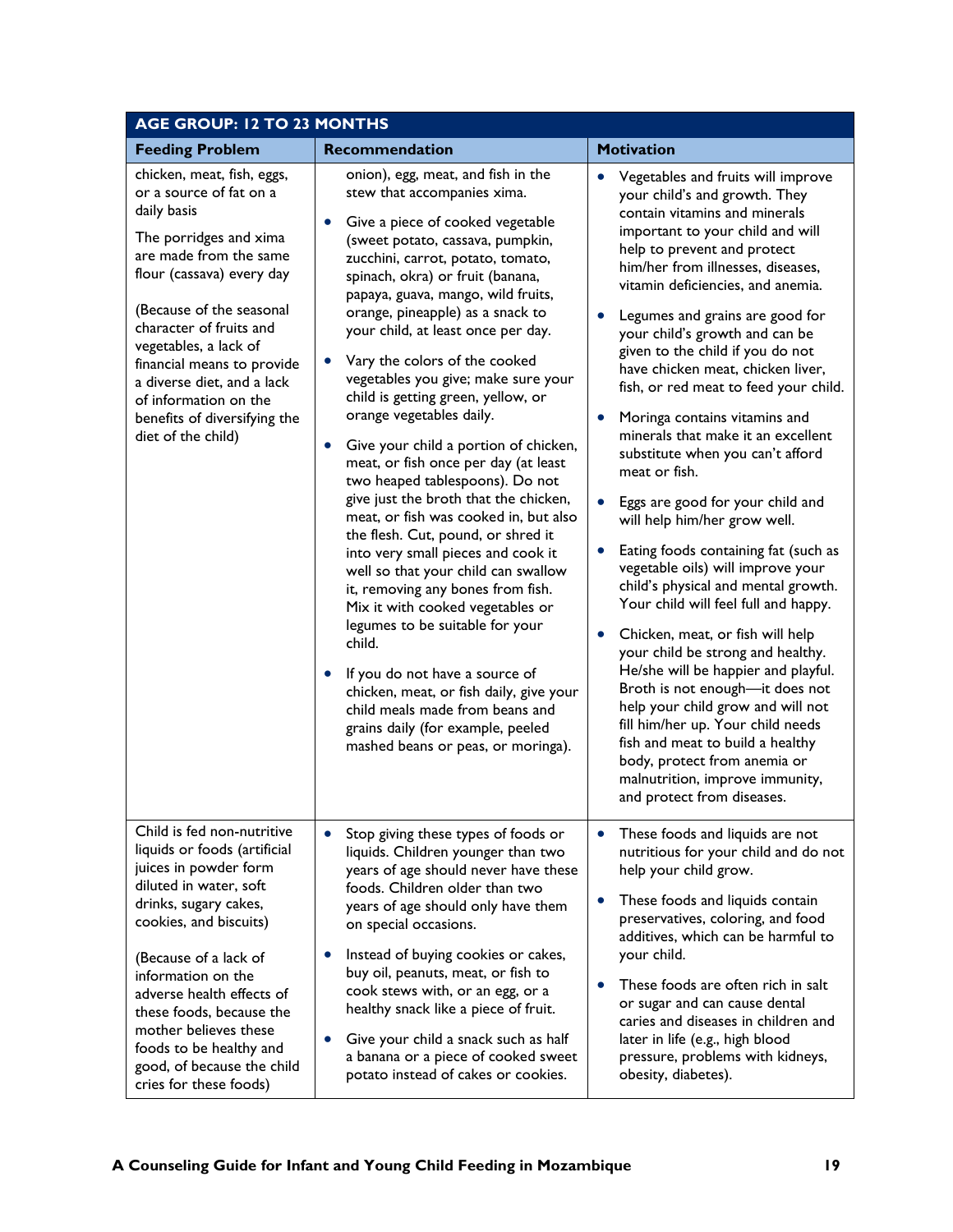| <b>AGE GROUP: 12 TO 23 MONTHS</b>                                                                                                                                                                                                                                                                                                                                                |                                                                                                                                                                                                                                                                                                                                                                                                                                                                                                                                                                                                                                                                                                                                                                                                                                                                                                                                                                                                                                                                                                                                     |                                                                                                                                                                                                                                                                                                                                                                                                                                                                                                                                                                                                                                                                                                                                                                                                                                                                                                                                                                                                                                                                                                                                                                                     |  |
|----------------------------------------------------------------------------------------------------------------------------------------------------------------------------------------------------------------------------------------------------------------------------------------------------------------------------------------------------------------------------------|-------------------------------------------------------------------------------------------------------------------------------------------------------------------------------------------------------------------------------------------------------------------------------------------------------------------------------------------------------------------------------------------------------------------------------------------------------------------------------------------------------------------------------------------------------------------------------------------------------------------------------------------------------------------------------------------------------------------------------------------------------------------------------------------------------------------------------------------------------------------------------------------------------------------------------------------------------------------------------------------------------------------------------------------------------------------------------------------------------------------------------------|-------------------------------------------------------------------------------------------------------------------------------------------------------------------------------------------------------------------------------------------------------------------------------------------------------------------------------------------------------------------------------------------------------------------------------------------------------------------------------------------------------------------------------------------------------------------------------------------------------------------------------------------------------------------------------------------------------------------------------------------------------------------------------------------------------------------------------------------------------------------------------------------------------------------------------------------------------------------------------------------------------------------------------------------------------------------------------------------------------------------------------------------------------------------------------------|--|
| <b>Feeding Problem</b>                                                                                                                                                                                                                                                                                                                                                           | <b>Recommendation</b>                                                                                                                                                                                                                                                                                                                                                                                                                                                                                                                                                                                                                                                                                                                                                                                                                                                                                                                                                                                                                                                                                                               | <b>Motivation</b>                                                                                                                                                                                                                                                                                                                                                                                                                                                                                                                                                                                                                                                                                                                                                                                                                                                                                                                                                                                                                                                                                                                                                                   |  |
| chicken, meat, fish, eggs,<br>or a source of fat on a<br>daily basis<br>The porridges and xima<br>are made from the same<br>flour (cassava) every day<br>(Because of the seasonal<br>character of fruits and<br>vegetables, a lack of<br>financial means to provide<br>a diverse diet, and a lack<br>of information on the<br>benefits of diversifying the<br>diet of the child) | onion), egg, meat, and fish in the<br>stew that accompanies xima.<br>Give a piece of cooked vegetable<br>$\bullet$<br>(sweet potato, cassava, pumpkin,<br>zucchini, carrot, potato, tomato,<br>spinach, okra) or fruit (banana,<br>papaya, guava, mango, wild fruits,<br>orange, pineapple) as a snack to<br>your child, at least once per day.<br>Vary the colors of the cooked<br>vegetables you give; make sure your<br>child is getting green, yellow, or<br>orange vegetables daily.<br>Give your child a portion of chicken,<br>meat, or fish once per day (at least<br>two heaped tablespoons). Do not<br>give just the broth that the chicken,<br>meat, or fish was cooked in, but also<br>the flesh. Cut, pound, or shred it<br>into very small pieces and cook it<br>well so that your child can swallow<br>it, removing any bones from fish.<br>Mix it with cooked vegetables or<br>legumes to be suitable for your<br>child.<br>If you do not have a source of<br>chicken, meat, or fish daily, give your<br>child meals made from beans and<br>grains daily (for example, peeled<br>mashed beans or peas, or moringa). | Vegetables and fruits will improve<br>$\bullet$<br>your child's and growth. They<br>contain vitamins and minerals<br>important to your child and will<br>help to prevent and protect<br>him/her from illnesses, diseases,<br>vitamin deficiencies, and anemia.<br>Legumes and grains are good for<br>your child's growth and can be<br>given to the child if you do not<br>have chicken meat, chicken liver,<br>fish, or red meat to feed your child.<br>Moringa contains vitamins and<br>minerals that make it an excellent<br>substitute when you can't afford<br>meat or fish.<br>Eggs are good for your child and<br>will help him/her grow well.<br>Eating foods containing fat (such as<br>vegetable oils) will improve your<br>child's physical and mental growth.<br>Your child will feel full and happy.<br>Chicken, meat, or fish will help<br>your child be strong and healthy.<br>He/she will be happier and playful.<br>Broth is not enough-it does not<br>help your child grow and will not<br>fill him/her up. Your child needs<br>fish and meat to build a healthy<br>body, protect from anemia or<br>malnutrition, improve immunity,<br>and protect from diseases. |  |
| Child is fed non-nutritive<br>liquids or foods (artificial<br>juices in powder form<br>diluted in water, soft<br>drinks, sugary cakes,<br>cookies, and biscuits)                                                                                                                                                                                                                 | Stop giving these types of foods or<br>$\bullet$<br>liquids. Children younger than two<br>years of age should never have these<br>foods. Children older than two<br>years of age should only have them<br>on special occasions.<br>$\bullet$                                                                                                                                                                                                                                                                                                                                                                                                                                                                                                                                                                                                                                                                                                                                                                                                                                                                                        | These foods and liquids are not<br>$\bullet$<br>nutritious for your child and do not<br>help your child grow.<br>These foods and liquids contain<br>preservatives, coloring, and food<br>additives, which can be harmful to<br>your child.                                                                                                                                                                                                                                                                                                                                                                                                                                                                                                                                                                                                                                                                                                                                                                                                                                                                                                                                          |  |
| (Because of a lack of<br>information on the<br>adverse health effects of<br>these foods, because the<br>mother believes these<br>foods to be healthy and<br>good, of because the child<br>cries for these foods)                                                                                                                                                                 | Instead of buying cookies or cakes,<br>buy oil, peanuts, meat, or fish to<br>cook stews with, or an egg, or a<br>healthy snack like a piece of fruit.<br>Give your child a snack such as half<br>a banana or a piece of cooked sweet<br>potato instead of cakes or cookies.                                                                                                                                                                                                                                                                                                                                                                                                                                                                                                                                                                                                                                                                                                                                                                                                                                                         | These foods are often rich in salt<br>or sugar and can cause dental<br>caries and diseases in children and<br>later in life (e.g., high blood<br>pressure, problems with kidneys,<br>obesity, diabetes).                                                                                                                                                                                                                                                                                                                                                                                                                                                                                                                                                                                                                                                                                                                                                                                                                                                                                                                                                                            |  |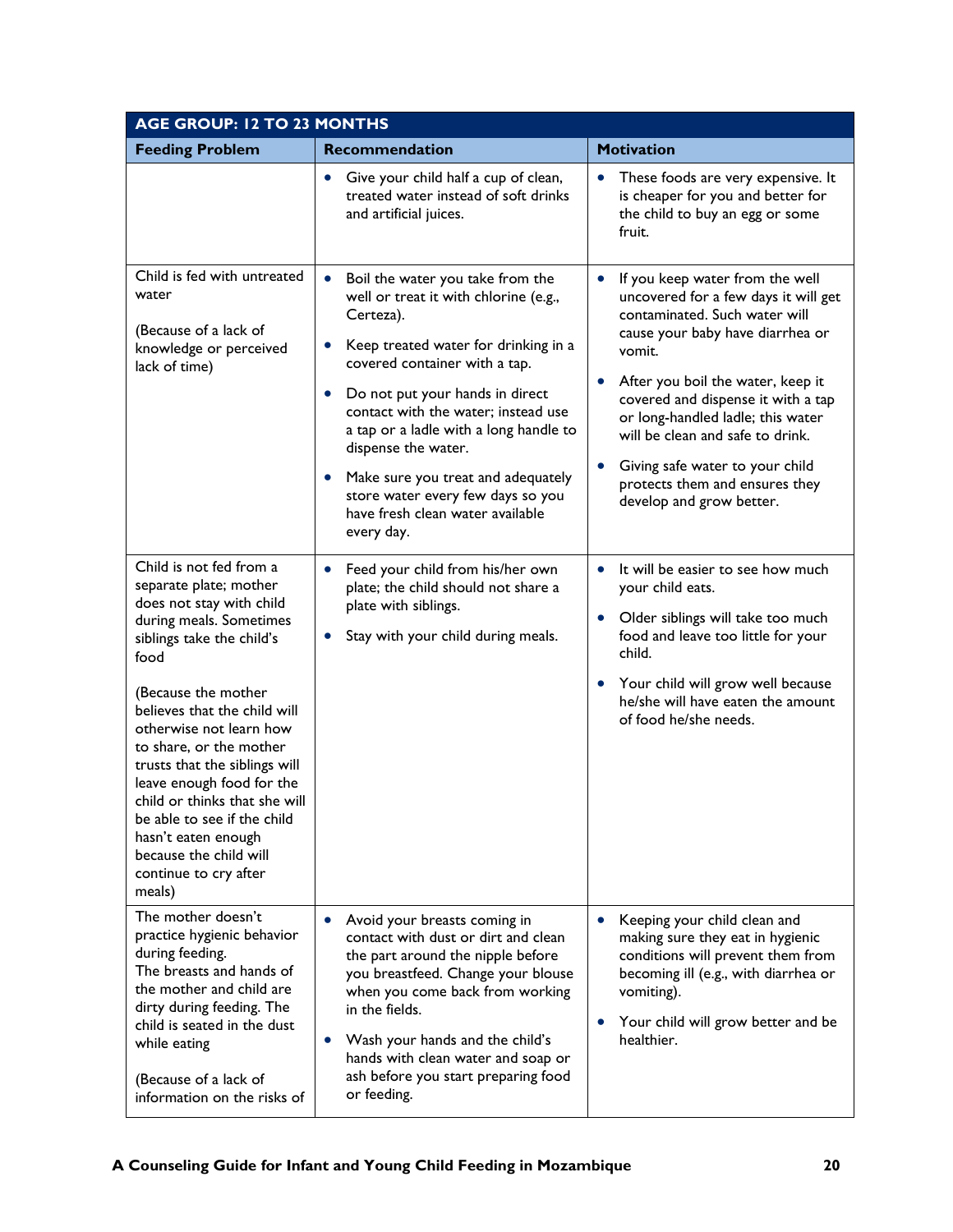| <b>AGE GROUP: 12 TO 23 MONTHS</b>                                                                                                                                                                                                                                                                                                                                                                                                                                            |                                                                                                                                                                                                                                                                                                                                                                                                                                                                                             |                                                                                                                                                                                                                                                                                                                                                                                                                                                    |  |
|------------------------------------------------------------------------------------------------------------------------------------------------------------------------------------------------------------------------------------------------------------------------------------------------------------------------------------------------------------------------------------------------------------------------------------------------------------------------------|---------------------------------------------------------------------------------------------------------------------------------------------------------------------------------------------------------------------------------------------------------------------------------------------------------------------------------------------------------------------------------------------------------------------------------------------------------------------------------------------|----------------------------------------------------------------------------------------------------------------------------------------------------------------------------------------------------------------------------------------------------------------------------------------------------------------------------------------------------------------------------------------------------------------------------------------------------|--|
| <b>Feeding Problem</b>                                                                                                                                                                                                                                                                                                                                                                                                                                                       | Recommendation                                                                                                                                                                                                                                                                                                                                                                                                                                                                              | <b>Motivation</b>                                                                                                                                                                                                                                                                                                                                                                                                                                  |  |
|                                                                                                                                                                                                                                                                                                                                                                                                                                                                              | Give your child half a cup of clean,<br>$\bullet$<br>treated water instead of soft drinks<br>and artificial juices.                                                                                                                                                                                                                                                                                                                                                                         | These foods are very expensive. It<br>$\bullet$<br>is cheaper for you and better for<br>the child to buy an egg or some<br>fruit.                                                                                                                                                                                                                                                                                                                  |  |
| Child is fed with untreated<br>water<br>(Because of a lack of<br>knowledge or perceived<br>lack of time)                                                                                                                                                                                                                                                                                                                                                                     | Boil the water you take from the<br>$\bullet$<br>well or treat it with chlorine (e.g.,<br>Certeza).<br>Keep treated water for drinking in a<br>$\bullet$<br>covered container with a tap.<br>Do not put your hands in direct<br>$\bullet$<br>contact with the water; instead use<br>a tap or a ladle with a long handle to<br>dispense the water.<br>Make sure you treat and adequately<br>$\bullet$<br>store water every few days so you<br>have fresh clean water available<br>every day. | If you keep water from the well<br>$\bullet$<br>uncovered for a few days it will get<br>contaminated. Such water will<br>cause your baby have diarrhea or<br>vomit.<br>After you boil the water, keep it<br>$\bullet$<br>covered and dispense it with a tap<br>or long-handled ladle; this water<br>will be clean and safe to drink.<br>Giving safe water to your child<br>$\bullet$<br>protects them and ensures they<br>develop and grow better. |  |
| Child is not fed from a<br>separate plate; mother<br>does not stay with child<br>during meals. Sometimes<br>siblings take the child's<br>food<br>(Because the mother<br>believes that the child will<br>otherwise not learn how<br>to share, or the mother<br>trusts that the siblings will<br>leave enough food for the<br>child or thinks that she will<br>be able to see if the child<br>hasn't eaten enough<br>because the child will<br>continue to cry after<br>meals) | Feed your child from his/her own<br>$\bullet$<br>plate; the child should not share a<br>plate with siblings.<br>Stay with your child during meals.<br>$\bullet$                                                                                                                                                                                                                                                                                                                             | It will be easier to see how much<br>$\bullet$<br>your child eats.<br>Older siblings will take too much<br>$\bullet$<br>food and leave too little for your<br>child.<br>Your child will grow well because<br>$\bullet$<br>he/she will have eaten the amount<br>of food he/she needs.                                                                                                                                                               |  |
| The mother doesn't<br>practice hygienic behavior<br>during feeding.<br>The breasts and hands of<br>the mother and child are<br>dirty during feeding. The<br>child is seated in the dust<br>while eating<br>(Because of a lack of<br>information on the risks of                                                                                                                                                                                                              | Avoid your breasts coming in<br>$\bullet$<br>contact with dust or dirt and clean<br>the part around the nipple before<br>you breastfeed. Change your blouse<br>when you come back from working<br>in the fields.<br>Wash your hands and the child's<br>$\bullet$<br>hands with clean water and soap or<br>ash before you start preparing food<br>or feeding.                                                                                                                                | Keeping your child clean and<br>$\bullet$<br>making sure they eat in hygienic<br>conditions will prevent them from<br>becoming ill (e.g., with diarrhea or<br>vomiting).<br>Your child will grow better and be<br>$\bullet$<br>healthier.                                                                                                                                                                                                          |  |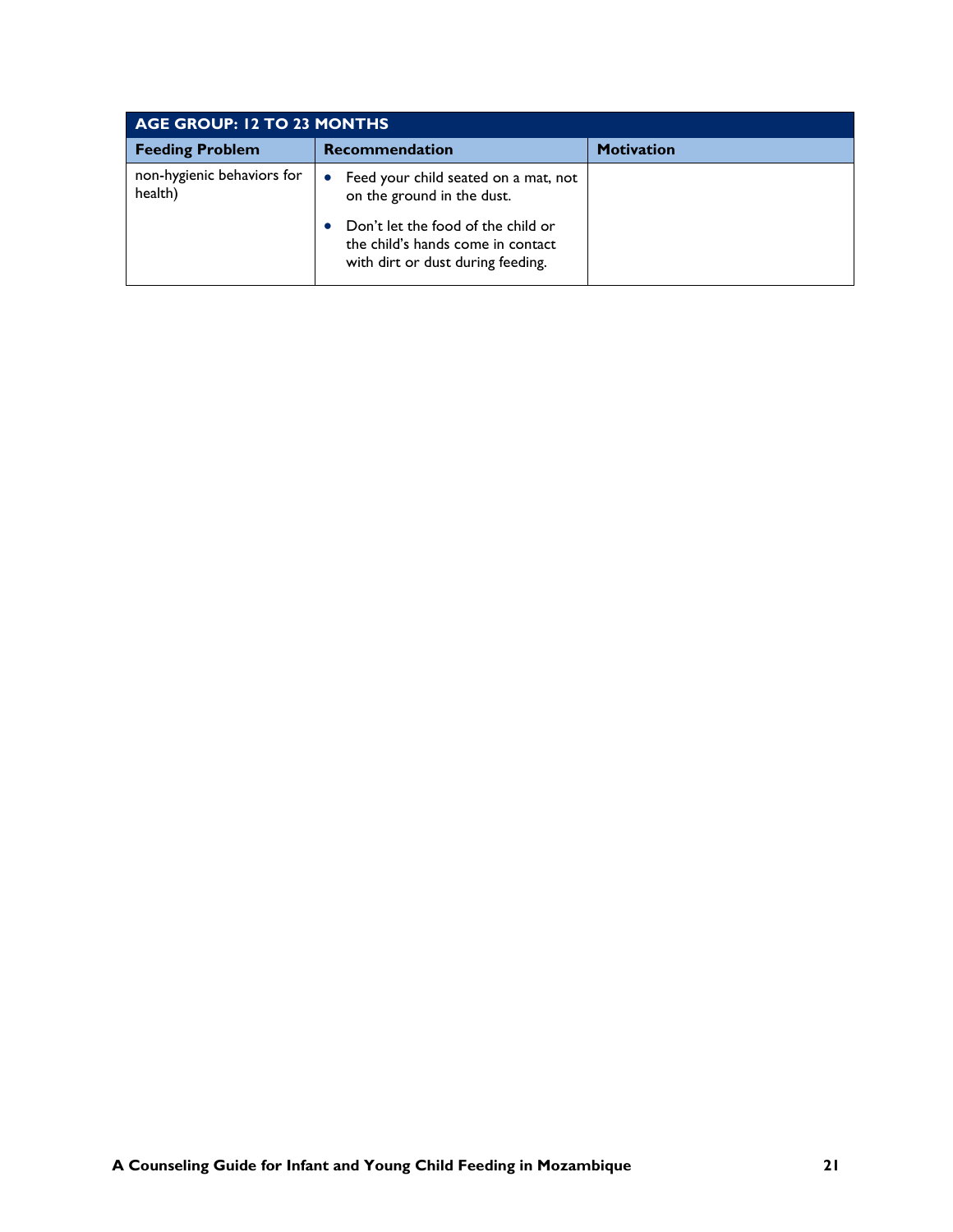| AGE GROUP: 12 TO 23 MONTHS            |                                                                                                                                                                                                 |                   |
|---------------------------------------|-------------------------------------------------------------------------------------------------------------------------------------------------------------------------------------------------|-------------------|
| <b>Feeding Problem</b>                | <b>Recommendation</b>                                                                                                                                                                           | <b>Motivation</b> |
| non-hygienic behaviors for<br>health) | Feed your child seated on a mat, not<br>$\bullet$<br>on the ground in the dust.<br>Don't let the food of the child or<br>the child's hands come in contact<br>with dirt or dust during feeding. |                   |